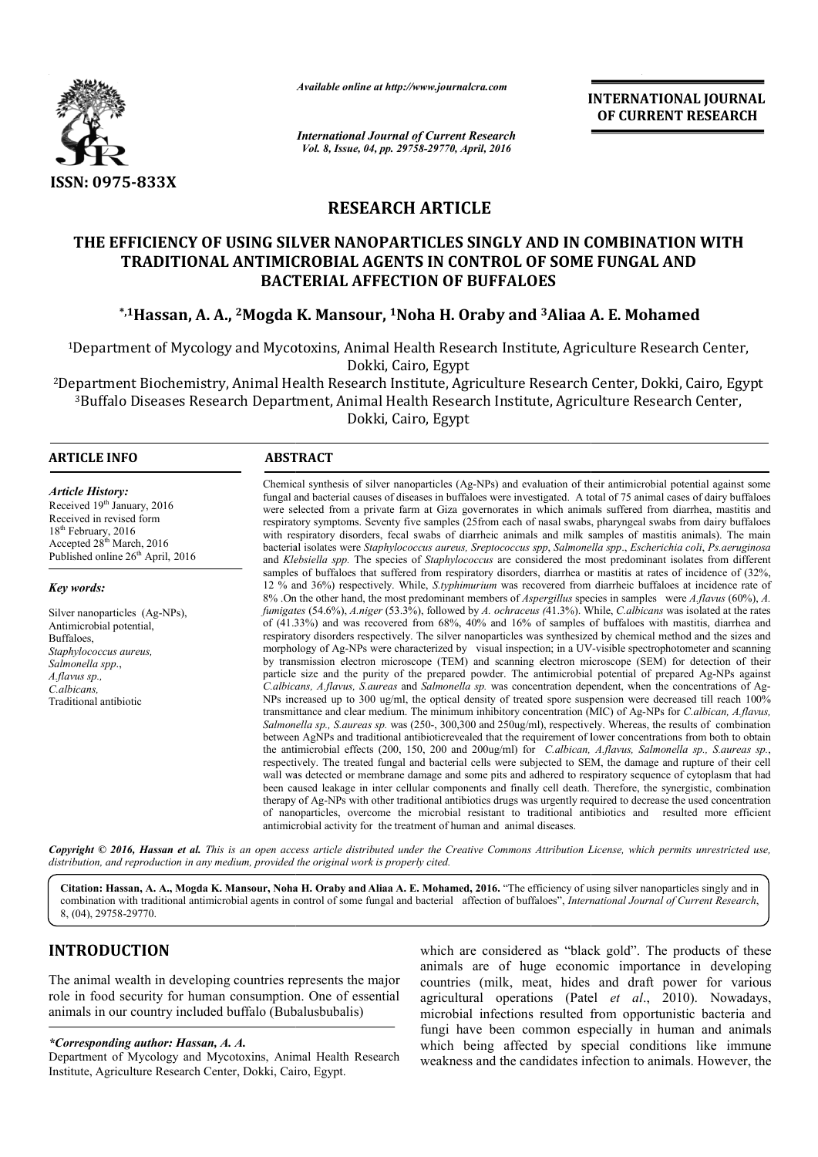

*Available online at http://www.journalcra.com*

**INTERNATIONAL JOURNAL OF CURRENT RESEARCH** 

*International Journal of Current Research Vol. 8, Issue, 04, pp. 29758-29770, April, 2016*

# **RESEARCH ARTICLE**

# **THE EFFICIENCY OF USING SILVER NANOPARTICLES SINGLY AND IN COMBINATION WITH TRADITIONAL ANTIMICROBIAL AGENTS IN CONTROL OF SOME FUNGAL AND BACTERIAL AFFECTION OF BUFFALOES THE EFFICIENCY OF USING SILVER NANOPARTICLES SINGLY AND IN COMBINATION WITH TRADITIONAL ANTIMICROBIAL AGENTS IN CONTROL OF SOME FUNGAL AND BACTERIAL AFFECTION OF BUFFALOES \*,1Hassan, A. A., <sup>2</sup>Mogda K. Mansour, <sup>1</sup>Noha H.**

<sup>1</sup>Department of Mycology and Mycotoxins, Animal Health Research Institute, Agriculture Research Center,<br>Dokki, Cairo, Egypt

2Department Biochemistry, Animal Health Research Institute, Agriculture Research Center, Dokki, Cairo, Egypt Department Biochemistry, Animal Health Research Institute, Agriculture Research Center, Dokki, Cairo, Eg<br><sup>3</sup>Buffalo Diseases Research Department, Animal Health Research Institute, Agriculture Research Center, Dokki, Cairo, Egypt

 $\overline{a}$ 

#### **ARTICLE INFO ABSTRACT**

*Article History:* Received 19<sup>th</sup> January, 2016 Received in revised form  $18<sup>th</sup>$  February, 2016 Accepted 28<sup>th</sup> March, 2016 Published online  $26<sup>th</sup>$  April, 2016

*Key words:*

Silver nanoparticles (Ag-NPs), Antimicrobial potential, **Buffaloes** *Staphylococcus aureus, Salmonella spp*., *A.flavus sp., C.albicans,*  Traditional antibiotic

fungal and bacterial causes of diseases in buffaloes were investigated. A total of 75 animal cases of dairy buffaloes were selected from a private farm at Giza governorates in which animals suffered from diarrhea, mastitis and respiratory symptoms. Seventy five samples (25from each of nasal swabs, pharyngeal swabs from dairy buffaloes respiratory symptoms. Seventy five samples (25 from each of nasal swabs, pharyngeal swabs from dairy buffaloes<br>with respiratory disorders, fecal swabs of diarrheic animals and milk samples of mastitis animals). The main bacterial isolates were *Staphylococcus aureus, Sreptococcus spp*, *Salmonella spp spp*., *Escherichia coli*, *Ps.aeruginosa*  and *Klebsiella spp.*  The species of *Staphylococcus* are considered the most predominant isolates from different samples of buffaloes that suffered from respiratory disorders, diarrhea or mastitis at rates of incidence of  $(32\%,$ 12 % and 36%) respectively. While, *S.typhimurium* was recovered from diarrheic buffaloes at incidence rate of and *Klebsiella spp.* The species of *Staphylococcus* are considered the most predominant isolates from different samples of buffaloes that suffered from respiratory disorders, diarrhea or mastitis at rates of incidence of *fumigates*  (54.6%), *A.niger* (53.3%), followed by *A. ochraceus (*41.3%). While, 41.3%). While, *C.albicans* was isolated at the rates of  $(41.33%)$  and was recovered from 68%,  $40%$  and  $16%$  of samples of buffaloes with mastitis, diarrhea and of (41.33%) and was recovered from 68%, 40% and 16% of samples of buffaloes with mastitis, diarrhea and respiratory disorders respectively. The silver nanoparticles was synthesized by chemical method and the sizes and morphology of Ag-NPs were characterized by visual inspection; in a UV-visible spectrophotometer and scanning by transmission electron microscope (TEM) and scanning electron microscope (SEM) for detection of their by transmission electron microscope (TEM) and scanning electron microscope (SEM) for detection of their particle size and the purity of the prepared powder. The antimicrobial potential of prepared Ag-NPs against C.albicans, A.flavus, S.aureas and Salmonella sp. was concentration dependent, when the concentrations of Ag-NPs increased up to 300 ug/ml, the optical density of treated spore suspension were decreased till reach 100% NPs increased up to 300 ug/ml, the optical density of treated spore suspension were decreased till reach 100% transmittance and clear medium. The minimum inhibitory concentration (MIC) of Ag-NPs for *C.albican, A.flavus,* Salmonella sp., S. aureas sp. was (250-, 300,300 and 250ug/ml), respectively. Whereas, the results of combination between AgNPs and traditional antibioticrevealed that the requirement of lower concentrations from both to obtain the antimicrobial effects (200, 150, 200 and 200ug/ml) for *C.albican, A.flavus, Salmonella sp., S.aureas sp.*, respectively respectively. The treated fungal and bacterial cells were subjected to SEM, the damage and rupture of their cell respectively. The treated fungal and bacterial cells were subjected to SEM, the damage and rupture of their cell<br>wall was detected or membrane damage and some pits and adhered to respiratory sequence of cytoplasm that had been caused leakage in inter cellular components and finally cell death. Therefore, the synergistic, combination therapy of Ag-NPs with other traditional antibiotics drugs was urgently required to decrease the used concentration therapy of Ag-NPs with other traditional antibiotics drugs was urgently required to decrease the used concentration<br>of nanoparticles, overcome the microbial resistant to traditional antibiotics and resulted more efficient antimicrobial activity for the treatment of human and animal diseases. Chemical synthesis of silver nanoparticles (Ag-NPs) and evaluation of their antimicrobial potential against some<br>fungal and bacterial causes of diseases in buffaloes were investigated. A total of 75 animal cases of dairy b **INTERNATIONAL JOURNAL (OF CURREMY RESEARCHED)**<br> **INTERNATIONAL ACTION (ITTLE ACTION AND AND IN COMBINATION WITH LOF SOME FUNGAL AND LOES**<br> **IVALUATES**<br> **IVALUATES**<br> **IVALUATES**<br> **IVALUATES**<br> **IVALUATES**<br> **IVALUATES**<br> **IV** 

Chemical synthesis of silver nanoparticles (Ag (Ag-NPs) and evaluation of their antimicrobial potential against some

Copyright © 2016, Hassan et al. This is an open access article distributed under the Creative Commons Attribution License, which permits unrestricted use, *distribution, and reproduction in any medium, provided the original work is properly cited.*

Citation: Hassan, A. A., Mogda K. Mansour, Noha H. Oraby and Aliaa A. E. Mohamed, 2016. "The efficiency of using silver nanoparticles singly and in combination with traditional antimicrobial agents in control of some fungal and bacterial affection of buffaloes", *International Journal of Current Research*, 8, (04), 29758-29770.

# **INTRODUCTION**

The animal wealth in developing countries represents the major role in food security for human consumption. One of essential animals in our country included buffalo (Bubalusbubalis)

#### *\*Corresponding author: Hassan, A. A.*

Department of Mycology and Mycotoxins, Animal Health Research Institute, Agriculture Research Center, Dokki, Cairo, Egypt.

which are considered as "black gold". The products of these which are considered as "black gold". The products of these animals are of huge economic importance in developing countries (milk, meat, hides and draft power for various agricultural operations (Patel et al., 2010). Nowadays, microbial infections resulted from opportunistic bacteria and fungi have been common especially in human and animals which being affected by special conditions like immune weakness and the candidates infection to animals. However, the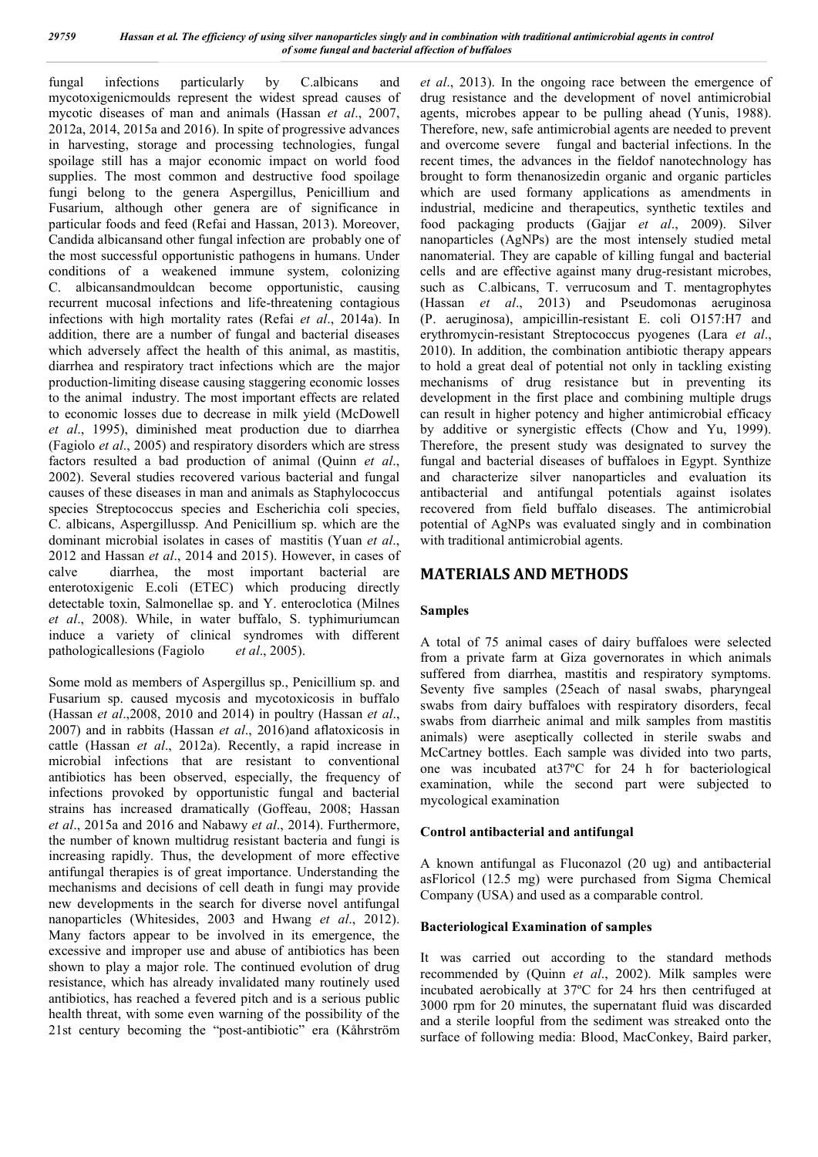fungal infections particularly by C.albicans and mycotoxigenicmoulds represent the widest spread causes of mycotic diseases of man and animals (Hassan *et al*., 2007, 2012a, 2014, 2015a and 2016). In spite of progressive advances in harvesting, storage and processing technologies, fungal spoilage still has a major economic impact on world food supplies. The most common and destructive food spoilage fungi belong to the genera Aspergillus, Penicillium and Fusarium, although other genera are of significance in particular foods and feed (Refai and Hassan, 2013). Moreover, Candida albicansand other fungal infection are probably one of the most successful opportunistic pathogens in humans. Under conditions of a weakened immune system, colonizing C. albicansandmouldcan become opportunistic, causing recurrent mucosal infections and life-threatening contagious infections with high mortality rates (Refai *et al*., 2014a). In addition, there are a number of fungal and bacterial diseases which adversely affect the health of this animal, as mastitis, diarrhea and respiratory tract infections which are the major production-limiting disease causing staggering economic losses to the animal industry. The most important effects are related to economic losses due to decrease in milk yield (McDowell *et al*., 1995), diminished meat production due to diarrhea (Fagiolo *et al*., 2005) and respiratory disorders which are stress factors resulted a bad production of animal (Quinn *et al*., 2002). Several studies recovered various bacterial and fungal causes of these diseases in man and animals as Staphylococcus species Streptococcus species and Escherichia coli species, C. albicans, Aspergillussp. And Penicillium sp. which are the dominant microbial isolates in cases of mastitis (Yuan *et al*., 2012 and Hassan *et al*., 2014 and 2015). However, in cases of calve diarrhea, the most important bacterial are enterotoxigenic E.coli (ETEC) which producing directly detectable toxin, Salmonellae sp. and Y. enteroclotica (Milnes *et al*., 2008). While, in water buffalo, S. typhimuriumcan induce a variety of clinical syndromes with different pathologicallesions (Fagiolo *et al*., 2005).

Some mold as members of Aspergillus sp., Penicillium sp. and Fusarium sp. caused mycosis and mycotoxicosis in buffalo (Hassan *et al*.,2008, 2010 and 2014) in poultry (Hassan *et al*., 2007) and in rabbits (Hassan *et al*., 2016)and aflatoxicosis in cattle (Hassan *et al*., 2012a). Recently, a rapid increase in microbial infections that are resistant to conventional antibiotics has been observed, especially, the frequency of infections provoked by opportunistic fungal and bacterial strains has increased dramatically (Goffeau, 2008; Hassan *et al*., 2015a and 2016 and Nabawy *et al*., 2014). Furthermore, the number of known multidrug resistant bacteria and fungi is increasing rapidly. Thus, the development of more effective antifungal therapies is of great importance. Understanding the mechanisms and decisions of cell death in fungi may provide new developments in the search for diverse novel antifungal nanoparticles (Whitesides, 2003 and Hwang *et al*., 2012). Many factors appear to be involved in its emergence, the excessive and improper use and abuse of antibiotics has been shown to play a major role. The continued evolution of drug resistance, which has already invalidated many routinely used antibiotics, has reached a fevered pitch and is a serious public health threat, with some even warning of the possibility of the 21st century becoming the "post-antibiotic" era (Kåhrström *et al*., 2013). In the ongoing race between the emergence of drug resistance and the development of novel antimicrobial agents, microbes appear to be pulling ahead (Yunis, 1988). Therefore, new, safe antimicrobial agents are needed to prevent and overcome severe fungal and bacterial infections. In the recent times, the advances in the fieldof nanotechnology has brought to form thenanosizedin organic and organic particles which are used formany applications as amendments in industrial, medicine and therapeutics, synthetic textiles and food packaging products (Gajjar *et al*., 2009). Silver nanoparticles (AgNPs) are the most intensely studied metal nanomaterial. They are capable of killing fungal and bacterial cells and are effective against many drug-resistant microbes, such as C.albicans, T. verrucosum and T. mentagrophytes (Hassan *et al*., 2013) and Pseudomonas aeruginosa (P. aeruginosa), ampicillin-resistant E. coli O157:H7 and erythromycin-resistant Streptococcus pyogenes (Lara *et al*., 2010). In addition, the combination antibiotic therapy appears to hold a great deal of potential not only in tackling existing mechanisms of drug resistance but in preventing its development in the first place and combining multiple drugs can result in higher potency and higher antimicrobial efficacy by additive or synergistic effects (Chow and Yu, 1999). Therefore, the present study was designated to survey the fungal and bacterial diseases of buffaloes in Egypt. Synthize and characterize silver nanoparticles and evaluation its antibacterial and antifungal potentials against isolates recovered from field buffalo diseases. The antimicrobial potential of AgNPs was evaluated singly and in combination with traditional antimicrobial agents.

### **MATERIALS AND METHODS**

#### **Samples**

A total of 75 animal cases of dairy buffaloes were selected from a private farm at Giza governorates in which animals suffered from diarrhea, mastitis and respiratory symptoms. Seventy five samples (25each of nasal swabs, pharyngeal swabs from dairy buffaloes with respiratory disorders, fecal swabs from diarrheic animal and milk samples from mastitis animals) were aseptically collected in sterile swabs and McCartney bottles. Each sample was divided into two parts, one was incubated at37ºC for 24 h for bacteriological examination, while the second part were subjected to mycological examination

#### **Control antibacterial and antifungal**

A known antifungal as Fluconazol (20 ug) and antibacterial asFloricol (12.5 mg) were purchased from Sigma Chemical Company (USA) and used as a comparable control.

#### **Bacteriological Examination of samples**

It was carried out according to the standard methods recommended by (Quinn *et al*., 2002). Milk samples were incubated aerobically at 37ºC for 24 hrs then centrifuged at 3000 rpm for 20 minutes, the supernatant fluid was discarded and a sterile loopful from the sediment was streaked onto the surface of following media: Blood, MacConkey, Baird parker,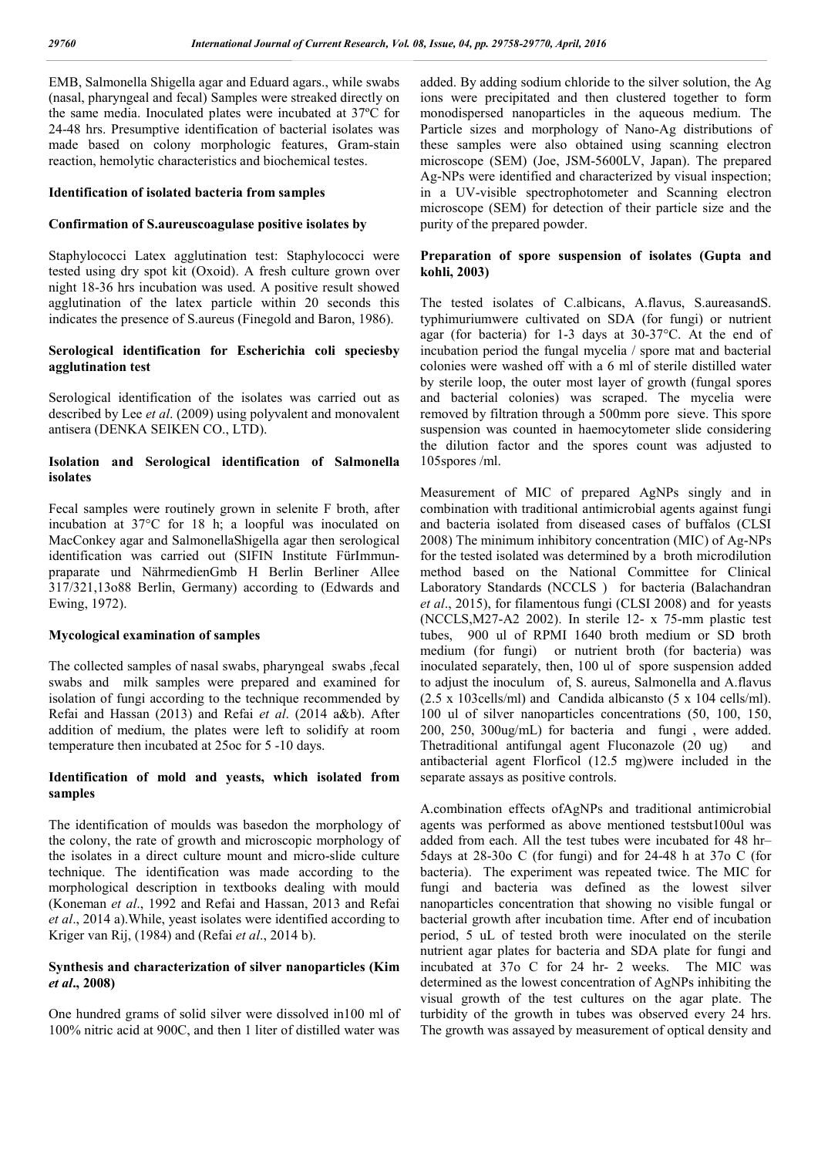EMB, Salmonella Shigella agar and Eduard agars., while swabs (nasal, pharyngeal and fecal) Samples were streaked directly on the same media. Inoculated plates were incubated at 37ºC for 24-48 hrs. Presumptive identification of bacterial isolates was made based on colony morphologic features, Gram-stain reaction, hemolytic characteristics and biochemical testes.

#### **Identification of isolated bacteria from samples**

#### **Confirmation of S.aureuscoagulase positive isolates by**

Staphylococci Latex agglutination test: Staphylococci were tested using dry spot kit (Oxoid). A fresh culture grown over night 18-36 hrs incubation was used. A positive result showed agglutination of the latex particle within 20 seconds this indicates the presence of S.aureus (Finegold and Baron, 1986).

#### **Serological identification for Escherichia coli speciesby agglutination test**

Serological identification of the isolates was carried out as described by Lee *et al*. (2009) using polyvalent and monovalent antisera (DENKA SEIKEN CO., LTD).

### **Isolation and Serological identification of Salmonella isolates**

Fecal samples were routinely grown in selenite F broth, after incubation at 37°C for 18 h; a loopful was inoculated on MacConkey agar and SalmonellaShigella agar then serological identification was carried out (SIFIN Institute FürImmunpraparate und NährmedienGmb H Berlin Berliner Allee 317/321,13o88 Berlin, Germany) according to (Edwards and Ewing, 1972).

#### **Mycological examination of samples**

The collected samples of nasal swabs, pharyngeal swabs ,fecal swabs and milk samples were prepared and examined for isolation of fungi according to the technique recommended by Refai and Hassan (2013) and Refai *et al*. (2014 a&b). After addition of medium, the plates were left to solidify at room temperature then incubated at 25oc for 5 -10 days.

#### **Identification of mold and yeasts, which isolated from samples**

The identification of moulds was basedon the morphology of the colony, the rate of growth and microscopic morphology of the isolates in a direct culture mount and micro-slide culture technique. The identification was made according to the morphological description in textbooks dealing with mould (Koneman *et al*., 1992 and Refai and Hassan, 2013 and Refai *et al*., 2014 a).While, yeast isolates were identified according to Kriger van Rij, (1984) and (Refai *et al*., 2014 b).

#### **Synthesis and characterization of silver nanoparticles (Kim**  *et al***., 2008)**

One hundred grams of solid silver were dissolved in100 ml of 100% nitric acid at 900C, and then 1 liter of distilled water was

added. By adding sodium chloride to the silver solution, the Ag ions were precipitated and then clustered together to form monodispersed nanoparticles in the aqueous medium. The Particle sizes and morphology of Nano-Ag distributions of these samples were also obtained using scanning electron microscope (SEM) (Joe, JSM-5600LV, Japan). The prepared Ag-NPs were identified and characterized by visual inspection; in a UV-visible spectrophotometer and Scanning electron microscope (SEM) for detection of their particle size and the purity of the prepared powder.

#### **Preparation of spore suspension of isolates (Gupta and kohli, 2003)**

The tested isolates of C.albicans, A.flavus, S.aureasandS. typhimuriumwere cultivated on SDA (for fungi) or nutrient agar (for bacteria) for 1-3 days at 30-37°C. At the end of incubation period the fungal mycelia / spore mat and bacterial colonies were washed off with a 6 ml of sterile distilled water by sterile loop, the outer most layer of growth (fungal spores and bacterial colonies) was scraped. The mycelia were removed by filtration through a 500mm pore sieve. This spore suspension was counted in haemocytometer slide considering the dilution factor and the spores count was adjusted to 105spores /ml.

Measurement of MIC of prepared AgNPs singly and in combination with traditional antimicrobial agents against fungi and bacteria isolated from diseased cases of buffalos (CLSI 2008) The minimum inhibitory concentration (MIC) of Ag-NPs for the tested isolated was determined by a broth microdilution method based on the National Committee for Clinical Laboratory Standards (NCCLS ) for bacteria (Balachandran *et al*., 2015), for filamentous fungi (CLSI 2008) and for yeasts (NCCLS,M27-A2 2002). In sterile 12- x 75-mm plastic test tubes, 900 ul of RPMI 1640 broth medium or SD broth medium (for fungi) or nutrient broth (for bacteria) was inoculated separately, then, 100 ul of spore suspension added to adjust the inoculum of, S. aureus, Salmonella and A.flavus (2.5 х 103cells/ml) and Candida albicansto (5 х 104 cells/ml). 100 ul of silver nanoparticles concentrations (50, 100, 150, 200, 250, 300ug/mL) for bacteria and fungi , were added. Thetraditional antifungal agent Fluconazole (20 ug) and antibacterial agent Florficol (12.5 mg)were included in the separate assays as positive controls.

A.combination effects ofAgNPs and traditional antimicrobial agents was performed as above mentioned testsbut100ul was added from each. All the test tubes were incubated for 48 hr– 5days at 28-30o C (for fungi) and for 24-48 h at 37o C (for bacteria). The experiment was repeated twice. The MIC for fungi and bacteria was defined as the lowest silver nanoparticles concentration that showing no visible fungal or bacterial growth after incubation time. After end of incubation period, 5 uL of tested broth were inoculated on the sterile nutrient agar plates for bacteria and SDA plate for fungi and incubated at 37o C for 24 hr- 2 weeks. The MIC was determined as the lowest concentration of AgNPs inhibiting the visual growth of the test cultures on the agar plate. The turbidity of the growth in tubes was observed every 24 hrs. The growth was assayed by measurement of optical density and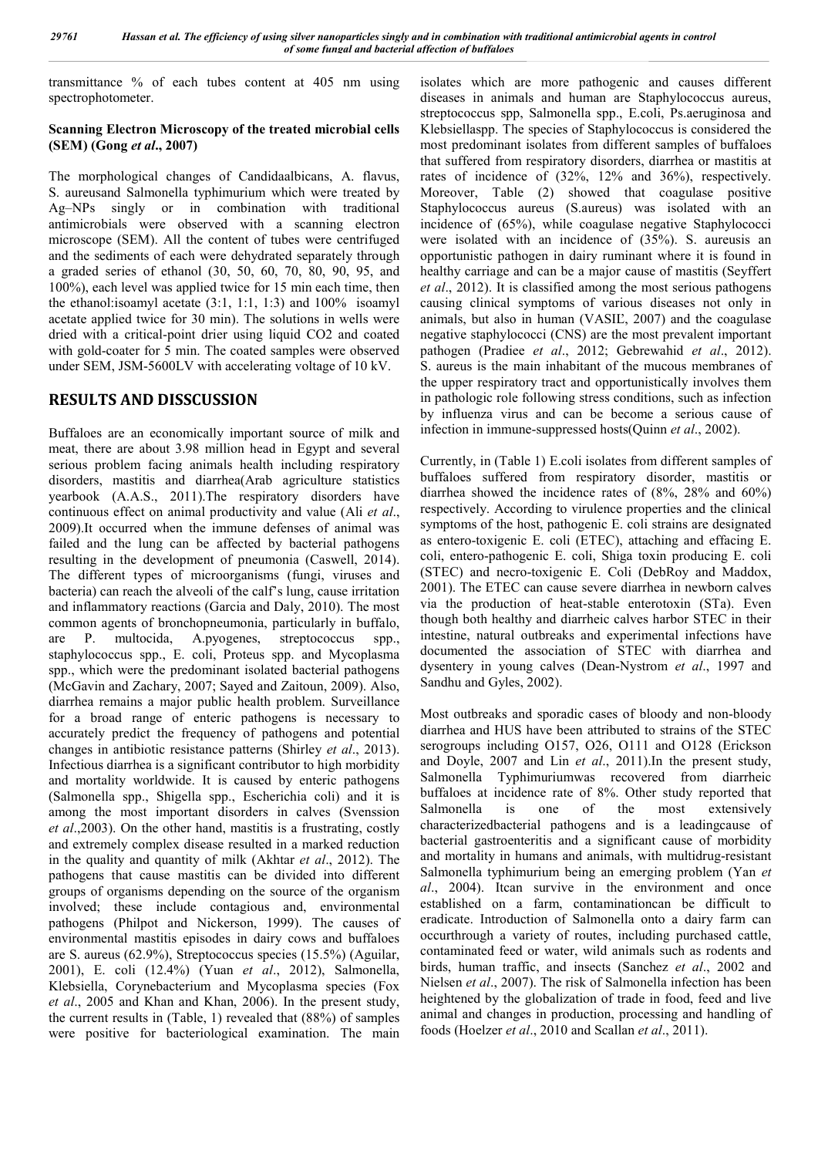transmittance % of each tubes content at 405 nm using spectrophotometer.

#### **Scanning Electron Microscopy of the treated microbial cells (SEM) (Gong** *et al***., 2007)**

The morphological changes of Candidaalbicans, A. flavus, S. aureusand Salmonella typhimurium which were treated by Ag–NPs singly or in combination with traditional antimicrobials were observed with a scanning electron microscope (SEM). All the content of tubes were centrifuged and the sediments of each were dehydrated separately through a graded series of ethanol (30, 50, 60, 70, 80, 90, 95, and 100%), each level was applied twice for 15 min each time, then the ethanol:isoamyl acetate (3:1, 1:1, 1:3) and 100% isoamyl acetate applied twice for 30 min). The solutions in wells were dried with a critical-point drier using liquid CO2 and coated with gold-coater for 5 min. The coated samples were observed under SEM, JSM-5600LV with accelerating voltage of 10 kV.

# **RESULTS AND DISSCUSSION**

Buffaloes are an economically important source of milk and meat, there are about 3.98 million head in Egypt and several serious problem facing animals health including respiratory disorders, mastitis and diarrhea(Arab agriculture statistics yearbook (A.A.S., 2011).The respiratory disorders have continuous effect on animal productivity and value (Ali *et al*., 2009).It occurred when the immune defenses of animal was failed and the lung can be affected by bacterial pathogens resulting in the development of pneumonia (Caswell, 2014). The different types of microorganisms (fungi, viruses and bacteria) can reach the alveoli of the calf's lung, cause irritation and inflammatory reactions (Garcia and Daly, 2010). The most common agents of bronchopneumonia, particularly in buffalo, are P. multocida, A.pyogenes, streptococcus spp., staphylococcus spp., E. coli, Proteus spp. and Mycoplasma spp., which were the predominant isolated bacterial pathogens (McGavin and Zachary, 2007; Sayed and Zaitoun, 2009). Also, diarrhea remains a major public health problem. Surveillance for a broad range of enteric pathogens is necessary to accurately predict the frequency of pathogens and potential changes in antibiotic resistance patterns (Shirley *et al*., 2013). Infectious diarrhea is a significant contributor to high morbidity and mortality worldwide. It is caused by enteric pathogens (Salmonella spp., Shigella spp., Escherichia coli) and it is among the most important disorders in calves (Svenssion *et al*.,2003). On the other hand, mastitis is a frustrating, costly and extremely complex disease resulted in a marked reduction in the quality and quantity of milk (Akhtar *et al*., 2012). The pathogens that cause mastitis can be divided into different groups of organisms depending on the source of the organism involved; these include contagious and, environmental pathogens (Philpot and Nickerson, 1999). The causes of environmental mastitis episodes in dairy cows and buffaloes are S. aureus (62.9%), Streptococcus species (15.5%) (Aguilar, 2001), E. coli (12.4%) (Yuan *et al*., 2012), Salmonella, Klebsiella, Corynebacterium and Mycoplasma species (Fox *et al*., 2005 and Khan and Khan, 2006). In the present study, the current results in (Table, 1) revealed that (88%) of samples were positive for bacteriological examination. The main

isolates which are more pathogenic and causes different diseases in animals and human are Staphylococcus aureus, streptococcus spp, Salmonella spp., E.coli, Ps.aeruginosa and Klebsiellaspp. The species of Staphylococcus is considered the most predominant isolates from different samples of buffaloes that suffered from respiratory disorders, diarrhea or mastitis at rates of incidence of (32%, 12% and 36%), respectively. Moreover, Table (2) showed that coagulase positive Staphylococcus aureus (S.aureus) was isolated with an incidence of (65%), while coagulase negative Staphylococci were isolated with an incidence of (35%). S. aureusis an opportunistic pathogen in dairy ruminant where it is found in healthy carriage and can be a major cause of mastitis (Seyffert *et al*., 2012). It is classified among the most serious pathogens causing clinical symptoms of various diseases not only in animals, but also in human (VASIĽ, 2007) and the coagulase negative staphylococci (CNS) are the most prevalent important pathogen (Pradiee *et al*., 2012; Gebrewahid *et al*., 2012). S. aureus is the main inhabitant of the mucous membranes of the upper respiratory tract and opportunistically involves them in pathologic role following stress conditions, such as infection by influenza virus and can be become a serious cause of infection in immune-suppressed hosts(Quinn *et al*., 2002).

Currently, in (Table 1) E.coli isolates from different samples of buffaloes suffered from respiratory disorder, mastitis or diarrhea showed the incidence rates of (8%, 28% and 60%) respectively. According to virulence properties and the clinical symptoms of the host, pathogenic E. coli strains are designated as entero-toxigenic E. coli (ETEC), attaching and effacing E. coli, entero-pathogenic E. coli, Shiga toxin producing E. coli (STEC) and necro-toxigenic E. Coli (DebRoy and Maddox, 2001). The ETEC can cause severe diarrhea in newborn calves via the production of heat-stable enterotoxin (STa). Even though both healthy and diarrheic calves harbor STEC in their intestine, natural outbreaks and experimental infections have documented the association of STEC with diarrhea and dysentery in young calves (Dean-Nystrom *et al*., 1997 and Sandhu and Gyles, 2002).

Most outbreaks and sporadic cases of bloody and non-bloody diarrhea and HUS have been attributed to strains of the STEC serogroups including O157, O26, O111 and O128 (Erickson and Doyle, 2007 and Lin *et al*., 2011).In the present study, Salmonella Typhimuriumwas recovered from diarrheic buffaloes at incidence rate of 8%. Other study reported that Salmonella is one of the most extensively characterizedbacterial pathogens and is a leadingcause of bacterial gastroenteritis and a significant cause of morbidity and mortality in humans and animals, with multidrug-resistant Salmonella typhimurium being an emerging problem (Yan *et al*., 2004). Itcan survive in the environment and once established on a farm, contaminationcan be difficult to eradicate. Introduction of Salmonella onto a dairy farm can occurthrough a variety of routes, including purchased cattle, contaminated feed or water, wild animals such as rodents and birds, human traffic, and insects (Sanchez *et al*., 2002 and Nielsen *et al*., 2007). The risk of Salmonella infection has been heightened by the globalization of trade in food, feed and live animal and changes in production, processing and handling of foods (Hoelzer *et al*., 2010 and Scallan *et al*., 2011).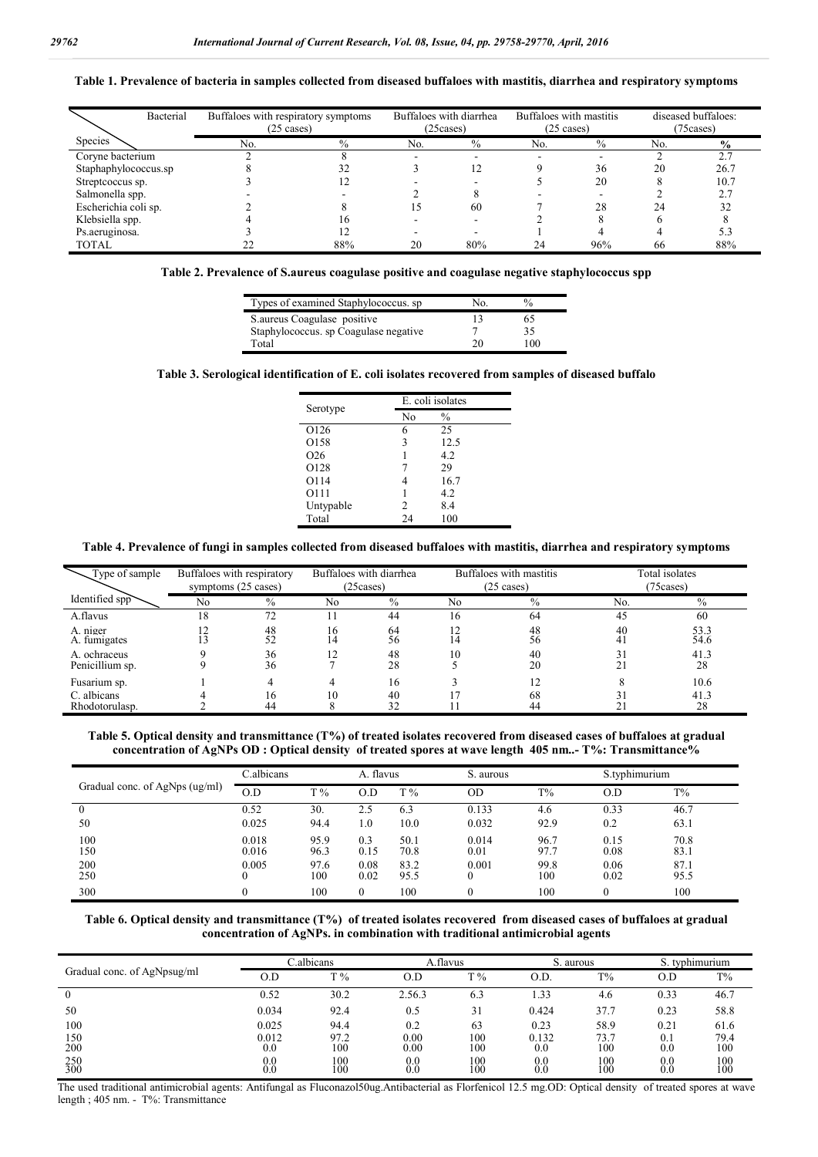**Table 1. Prevalence of bacteria in samples collected from diseased buffaloes with mastitis, diarrhea and respiratory symptoms**

| Bacterial            | Buffaloes with respiratory symptoms<br>$(25 \text{ cases})$ |               |     | Buffaloes with diarrhea<br>(25 cases) | Buffaloes with mastitis<br>$(25 \text{ cases})$ |               | diseased buffaloes:<br>(75 cases) |                |
|----------------------|-------------------------------------------------------------|---------------|-----|---------------------------------------|-------------------------------------------------|---------------|-----------------------------------|----------------|
| Species              | No.                                                         | $\frac{0}{0}$ | No. | $\frac{0}{0}$                         | N <sub>0</sub>                                  | $\frac{0}{0}$ | No.                               | $\frac{6}{10}$ |
| Coryne bacterium     |                                                             |               |     |                                       |                                                 |               |                                   | 2.7            |
| Staphaphylococcus.sp |                                                             |               |     | 12                                    |                                                 | 36            | 20                                | 26.7           |
| Streptcoccus sp.     |                                                             |               |     |                                       |                                                 | 20            | 8                                 | 10.7           |
| Salmonella spp.      |                                                             |               |     |                                       |                                                 |               |                                   | 2.7            |
| Escherichia coli sp. |                                                             |               | 15  | 60                                    |                                                 | 28            | 24                                |                |
| Klebsiella spp.      |                                                             | 16            |     |                                       |                                                 |               |                                   |                |
| Ps.aeruginosa.       |                                                             |               |     |                                       |                                                 |               |                                   |                |
| <b>TOTAL</b>         |                                                             | 88%           | 20  | 80%                                   | 24                                              | 96%           | 66                                | 88%            |

**Table 2. Prevalence of S.aureus coagulase positive and coagulase negative staphylococcus spp**

| Types of examined Staphylococcus, sp. | No. | $\frac{0}{0}$ |  |
|---------------------------------------|-----|---------------|--|
| S. aureus Coagulase positive          |     | 65            |  |
| Staphylococcus, sp Coagulase negative |     | 35            |  |
| Total                                 | 20  | 100.          |  |

#### **Table 3. Serological identification of E. coli isolates recovered from samples of diseased buffalo**

|                 | E. coli isolates |               |  |  |  |  |
|-----------------|------------------|---------------|--|--|--|--|
| Serotype        | No               | $\frac{0}{0}$ |  |  |  |  |
| O126            | 6                | 25            |  |  |  |  |
| O158            | 3                | 12.5          |  |  |  |  |
| O <sub>26</sub> |                  | 4.2           |  |  |  |  |
| O128            |                  | 29            |  |  |  |  |
| O114            |                  | 16.7          |  |  |  |  |
| 0111            |                  | 4.2           |  |  |  |  |
| Untypable       | 2                | 8.4           |  |  |  |  |
| Total           | 24               | 100           |  |  |  |  |

#### **Table 4. Prevalence of fungi in samples collected from diseased buffaloes with mastitis, diarrhea and respiratory symptoms**

| Type of sample                  | Buffaloes with respiratory<br>symptoms (25 cases) |               | Buffaloes with diarrhea<br>(25 cases) |          | Buffaloes with mastitis<br>$(25 \text{ cases})$ |               | Total isolates<br>(75 cases) |              |
|---------------------------------|---------------------------------------------------|---------------|---------------------------------------|----------|-------------------------------------------------|---------------|------------------------------|--------------|
| Identified spp                  | No                                                | $\frac{0}{0}$ | No                                    | $\%$     | No                                              | $\frac{0}{0}$ | No.                          | $\%$         |
| A.flavus                        | 18                                                | 72            |                                       | 44       | 16                                              | 64            | 45                           | 60           |
| A niger<br>A. fumigates         | າາ                                                | 48<br>52      | 16<br>14                              | 64<br>56 | 14                                              | 48<br>56      | 40<br>41                     | 53.3<br>54.6 |
| A. ochraceus<br>Penicillium sp. |                                                   | 36<br>36      |                                       | 48<br>28 | 10                                              | 40<br>20      | 31                           | 41.3<br>28   |
| Fusarium sp.                    |                                                   | 4             |                                       | 16       |                                                 |               |                              | 10.6         |
| C. albicans<br>Rhodotorulasp.   |                                                   | 16<br>44      | 10                                    | 40<br>32 |                                                 | 68<br>44      |                              | 41.3<br>28   |

**Table 5. Optical density and transmittance (T%) of treated isolates recovered from diseased cases of buffaloes at gradual concentration of AgNPs OD : Optical density of treated spores at wave length 405 nm..- T%: Transmittance%**

|                                | C.albicans     |              | A. flavus    |              | S. aurous     |              |              | S.typhimurium |  |
|--------------------------------|----------------|--------------|--------------|--------------|---------------|--------------|--------------|---------------|--|
| Gradual conc. of AgNps (ug/ml) | O.D            | $T\%$        | O.D          | $T\%$        | OD            | $T\%$        | O.D          | $T\%$         |  |
|                                | 0.52           | 30.          | 2.5          | 6.3          | 0.133         | 4.6          | 0.33         | 46.7          |  |
| 50                             | 0.025          | 94.4         | 1.0          | 10.0         | 0.032         | 92.9         | 0.2          | 63.1          |  |
| 100<br>150                     | 0.018<br>0.016 | 95.9<br>96.3 | 0.3<br>0.15  | 50.1<br>70.8 | 0.014<br>0.01 | 96.7<br>97.7 | 0.15<br>0.08 | 70.8<br>83.1  |  |
| 200<br>250                     | 0.005          | 97.6<br>100  | 0.08<br>0.02 | 83.2<br>95.5 | 0.001         | 99.8<br>100  | 0.06<br>0.02 | 87.1<br>95.5  |  |
| 300                            |                | 100          | $\theta$     | 100          |               | 100          | $\theta$     | 100           |  |

**Table 6. Optical density and transmittance (T%) of treated isolates recovered from diseased cases of buffaloes at gradual concentration of AgNPs. in combination with traditional antimicrobial agents**

|                             | C.albicans            |             | A.flavus              |            | S. aurous             |             | S. typhimurium        |             |
|-----------------------------|-----------------------|-------------|-----------------------|------------|-----------------------|-------------|-----------------------|-------------|
| Gradual conc. of AgNpsug/ml | 0.D                   | $T\%$       | O.D                   | $T\%$      | O.D.                  | $T\%$       | O.D                   | $T\%$       |
| $\bf{0}$                    | 0.52                  | 30.2        | 2.56.3                | 6.3        | . 33                  | 4.6         | 0.33                  | 46.7        |
| 50                          | 0.034                 | 92.4        | 0.5                   | 31         | 0.424                 | 37.7        | 0.23                  | 58.8        |
| 100                         | 0.025                 | 94.4        | 0.2                   | 63         | 0.23                  | 58.9        | 0.21                  | 61.6        |
| 150<br>200                  | 0.012<br>0.0          | 97.2<br>100 | 0.00<br>0.00          | 100<br>100 | 0.132<br>0.0          | 73.7<br>100 | 0.1<br>0.0            | 79.4<br>100 |
| 250<br>300                  | 0 <sub>0</sub><br>0.0 | 100<br>100  | 0 <sub>0</sub><br>0.0 | 100<br>100 | 0 <sub>0</sub><br>0.0 | 100<br>100  | 0 <sub>0</sub><br>0.0 | 100<br>100  |

The used traditional antimicrobial agents: Antifungal as Fluconazol50ug.Antibacterial as Florfenicol 12.5 mg.OD: Optical density of treated spores at wave length ; 405 nm. - T%: Transmittance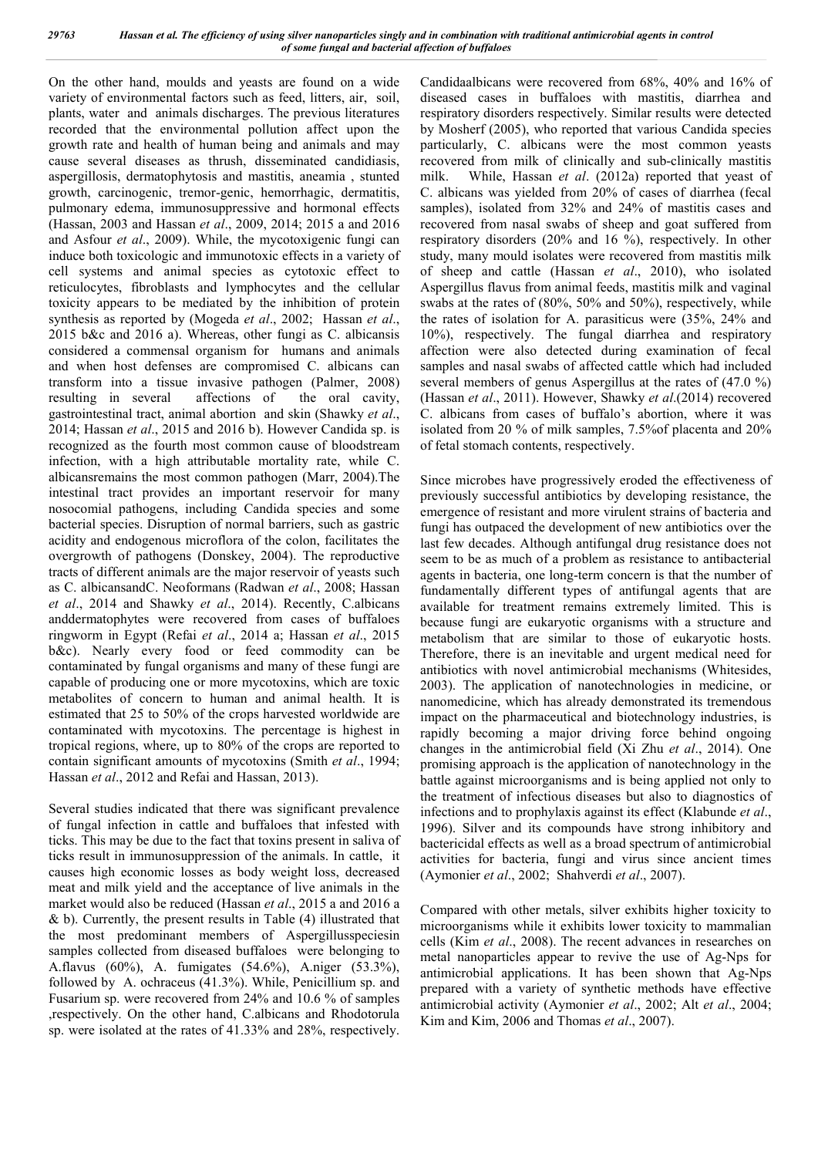On the other hand, moulds and yeasts are found on a wide variety of environmental factors such as feed, litters, air, soil, plants, water and animals discharges. The previous literatures recorded that the environmental pollution affect upon the growth rate and health of human being and animals and may cause several diseases as thrush, disseminated candidiasis, aspergillosis, dermatophytosis and mastitis, aneamia , stunted growth, carcinogenic, tremor-genic, hemorrhagic, dermatitis, pulmonary edema, immunosuppressive and hormonal effects (Hassan, 2003 and Hassan *et al*., 2009, 2014; 2015 a and 2016 and Asfour *et al*., 2009). While, the mycotoxigenic fungi can induce both toxicologic and immunotoxic effects in a variety of cell systems and animal species as cytotoxic effect to reticulocytes, fibroblasts and lymphocytes and the cellular toxicity appears to be mediated by the inhibition of protein synthesis as reported by (Mogeda *et al*., 2002; Hassan *et al*., 2015 b&c and 2016 a). Whereas, other fungi as C. albicansis considered a commensal organism for humans and animals and when host defenses are compromised C. albicans can transform into a tissue invasive pathogen (Palmer, 2008) resulting in several affections of the oral cavity, gastrointestinal tract, animal abortion and skin (Shawky *et al*., 2014; Hassan *et al*., 2015 and 2016 b). However Candida sp. is recognized as the fourth most common cause of bloodstream infection, with a high attributable mortality rate, while C. albicansremains the most common pathogen (Marr, 2004).The intestinal tract provides an important reservoir for many nosocomial pathogens, including Candida species and some bacterial species. Disruption of normal barriers, such as gastric acidity and endogenous microflora of the colon, facilitates the overgrowth of pathogens (Donskey, 2004). The reproductive tracts of different animals are the major reservoir of yeasts such as C. albicansandC. Neoformans (Radwan *et al*., 2008; Hassan *et al*., 2014 and Shawky *et al*., 2014). Recently, C.albicans anddermatophytes were recovered from cases of buffaloes ringworm in Egypt (Refai *et al*., 2014 a; Hassan *et al*., 2015 b&c). Nearly every food or feed commodity can be contaminated by fungal organisms and many of these fungi are capable of producing one or more mycotoxins, which are toxic metabolites of concern to human and animal health. It is estimated that 25 to 50% of the crops harvested worldwide are contaminated with mycotoxins. The percentage is highest in tropical regions, where, up to 80% of the crops are reported to contain significant amounts of mycotoxins (Smith *et al*., 1994; Hassan *et al*., 2012 and Refai and Hassan, 2013).

Several studies indicated that there was significant prevalence of fungal infection in cattle and buffaloes that infested with ticks. This may be due to the fact that toxins present in saliva of ticks result in immunosuppression of the animals. In cattle, it causes high economic losses as body weight loss, decreased meat and milk yield and the acceptance of live animals in the market would also be reduced (Hassan *et al*., 2015 a and 2016 a & b). Currently, the present results in Table (4) illustrated that the most predominant members of Aspergillusspeciesin samples collected from diseased buffaloes were belonging to A.flavus (60%), A. fumigates (54.6%), A.niger (53.3%), followed by A. ochraceus (41.3%). While, Penicillium sp. and Fusarium sp. were recovered from 24% and 10.6 % of samples ,respectively. On the other hand, C.albicans and Rhodotorula sp. were isolated at the rates of 41.33% and 28%, respectively.

Candidaalbicans were recovered from 68%, 40% and 16% of diseased cases in buffaloes with mastitis, diarrhea and respiratory disorders respectively. Similar results were detected by Mosherf (2005), who reported that various Candida species particularly, C. albicans were the most common yeasts recovered from milk of clinically and sub-clinically mastitis milk. While, Hassan *et al*. (2012a) reported that yeast of C. albicans was yielded from 20% of cases of diarrhea (fecal samples), isolated from 32% and 24% of mastitis cases and recovered from nasal swabs of sheep and goat suffered from respiratory disorders (20% and 16 %), respectively. In other study, many mould isolates were recovered from mastitis milk of sheep and cattle (Hassan *et al*., 2010), who isolated Aspergillus flavus from animal feeds, mastitis milk and vaginal swabs at the rates of (80%, 50% and 50%), respectively, while the rates of isolation for A. parasiticus were (35%, 24% and 10%), respectively. The fungal diarrhea and respiratory affection were also detected during examination of fecal samples and nasal swabs of affected cattle which had included several members of genus Aspergillus at the rates of (47.0 %) (Hassan *et al*., 2011). However, Shawky *et al*.(2014) recovered C. albicans from cases of buffalo's abortion, where it was isolated from 20 % of milk samples, 7.5%of placenta and 20% of fetal stomach contents, respectively.

Since microbes have progressively eroded the effectiveness of previously successful antibiotics by developing resistance, the emergence of resistant and more virulent strains of bacteria and fungi has outpaced the development of new antibiotics over the last few decades. Although antifungal drug resistance does not seem to be as much of a problem as resistance to antibacterial agents in bacteria, one long-term concern is that the number of fundamentally different types of antifungal agents that are available for treatment remains extremely limited. This is because fungi are eukaryotic organisms with a structure and metabolism that are similar to those of eukaryotic hosts. Therefore, there is an inevitable and urgent medical need for antibiotics with novel antimicrobial mechanisms (Whitesides, 2003). The application of nanotechnologies in medicine, or nanomedicine, which has already demonstrated its tremendous impact on the pharmaceutical and biotechnology industries, is rapidly becoming a major driving force behind ongoing changes in the antimicrobial field (Xi Zhu *et al*., 2014). One promising approach is the application of nanotechnology in the battle against microorganisms and is being applied not only to the treatment of infectious diseases but also to diagnostics of infections and to prophylaxis against its effect (Klabunde *et al*., 1996). Silver and its compounds have strong inhibitory and bactericidal effects as well as a broad spectrum of antimicrobial activities for bacteria, fungi and virus since ancient times (Aymonier *et al*., 2002; Shahverdi *et al*., 2007).

Compared with other metals, silver exhibits higher toxicity to microorganisms while it exhibits lower toxicity to mammalian cells (Kim *et al*., 2008). The recent advances in researches on metal nanoparticles appear to revive the use of Ag-Nps for antimicrobial applications. It has been shown that Ag-Nps prepared with a variety of synthetic methods have effective antimicrobial activity (Aymonier *et al*., 2002; Alt *et al*., 2004; Kim and Kim, 2006 and Thomas *et al*., 2007).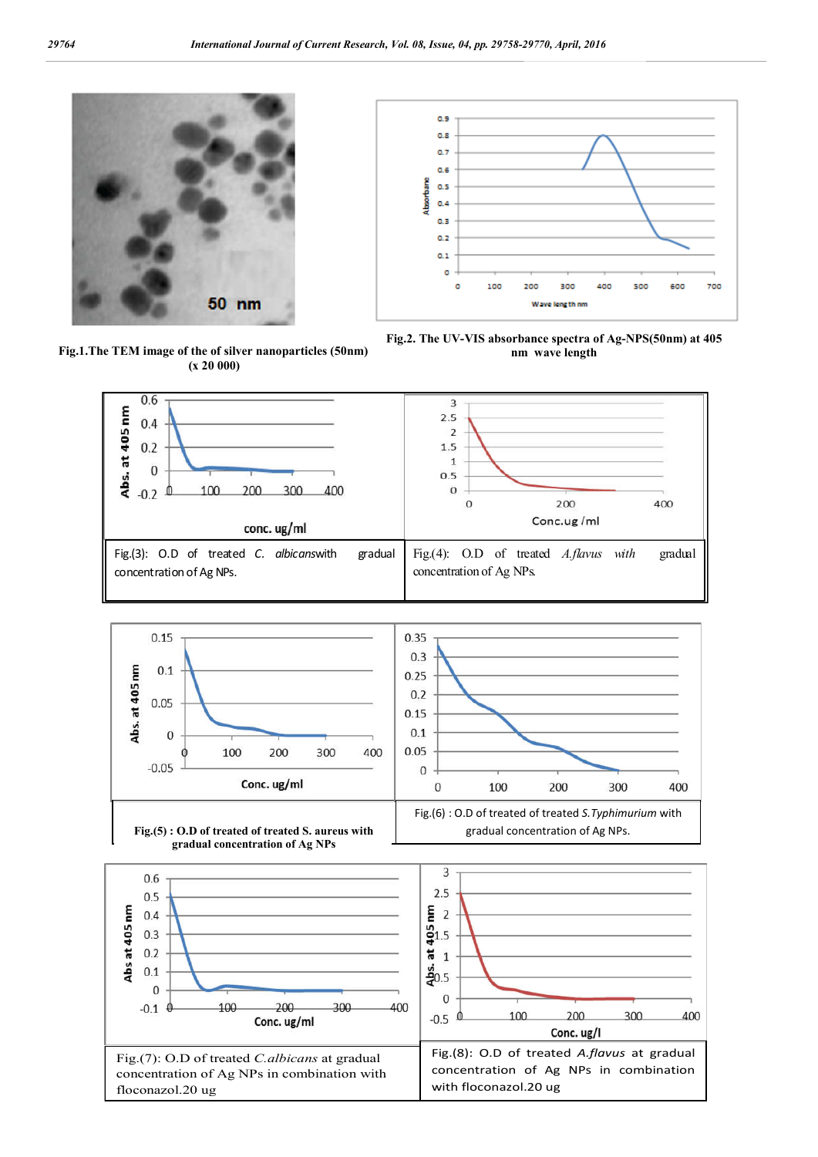

**Fig.1.The TEM image of the of silver nanoparticles (50nm) (x 20 000)** 



**Fig.2. The UV-VIS absorbance spectra of Ag-NPS(50nm) at 405 nm wave length**

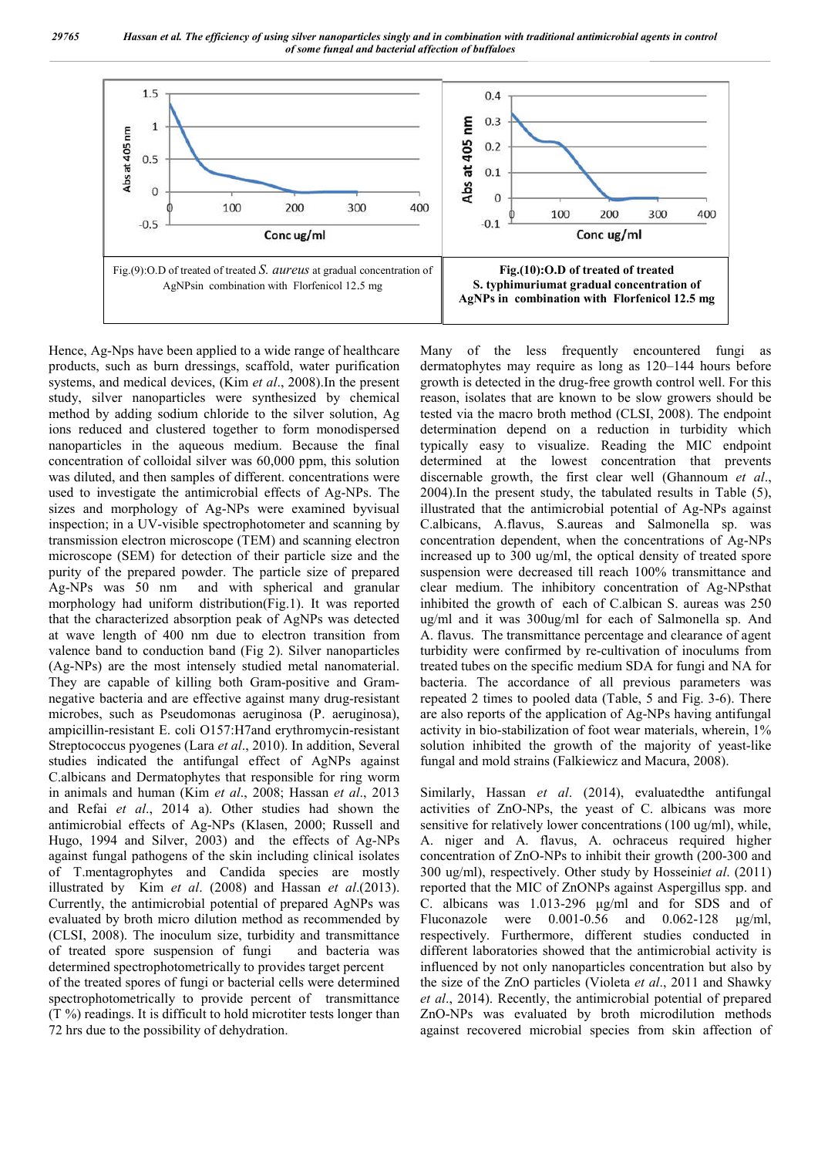*29765 Hassan et al. The efficiency of using silver nanoparticles singly and in combination with traditional antimicrobial agents in control of some fungal and bacterial affection of buffaloes*



Hence, Ag-Nps have been applied to a wide range of healthcare products, such as burn dressings, scaffold, water purification systems, and medical devices, (Kim *et al*., 2008).In the present study, silver nanoparticles were synthesized by chemical method by adding sodium chloride to the silver solution, Ag ions reduced and clustered together to form monodispersed nanoparticles in the aqueous medium. Because the final concentration of colloidal silver was 60,000 ppm, this solution was diluted, and then samples of different. concentrations were used to investigate the antimicrobial effects of Ag-NPs. The sizes and morphology of Ag-NPs were examined byvisual inspection; in a UV-visible spectrophotometer and scanning by transmission electron microscope (TEM) and scanning electron microscope (SEM) for detection of their particle size and the purity of the prepared powder. The particle size of prepared Ag-NPs was 50 nm and with spherical and granular morphology had uniform distribution(Fig.1). It was reported that the characterized absorption peak of AgNPs was detected at wave length of 400 nm due to electron transition from valence band to conduction band (Fig 2). Silver nanoparticles (Ag-NPs) are the most intensely studied metal nanomaterial. They are capable of killing both Gram-positive and Gramnegative bacteria and are effective against many drug-resistant microbes, such as Pseudomonas aeruginosa (P. aeruginosa), ampicillin-resistant E. coli O157:H7and erythromycin-resistant Streptococcus pyogenes (Lara *et al*., 2010). In addition, Several studies indicated the antifungal effect of AgNPs against C.albicans and Dermatophytes that responsible for ring worm in animals and human (Kim *et al*., 2008; Hassan *et al*., 2013 and Refai *et al*., 2014 a). Other studies had shown the antimicrobial effects of Ag-NPs (Klasen, 2000; Russell and Hugo, 1994 and Silver, 2003) and the effects of Ag-NPs against fungal pathogens of the skin including clinical isolates of T.mentagrophytes and Candida species are mostly illustrated by Kim *et al*. (2008) and Hassan *et al*.(2013). Currently, the antimicrobial potential of prepared AgNPs was evaluated by broth micro dilution method as recommended by (CLSI, 2008). The inoculum size, turbidity and transmittance of treated spore suspension of fungi and bacteria was determined spectrophotometrically to provides target percent of the treated spores of fungi or bacterial cells were determined spectrophotometrically to provide percent of transmittance (T %) readings. It is difficult to hold microtiter tests longer than 72 hrs due to the possibility of dehydration.

Many of the less frequently encountered fungi as dermatophytes may require as long as 120–144 hours before growth is detected in the drug-free growth control well. For this reason, isolates that are known to be slow growers should be tested via the macro broth method (CLSI, 2008). The endpoint determination depend on a reduction in turbidity which typically easy to visualize. Reading the MIC endpoint determined at the lowest concentration that prevents discernable growth, the first clear well (Ghannoum *et al*., 2004).In the present study, the tabulated results in Table (5), illustrated that the antimicrobial potential of Ag-NPs against C.albicans, A.flavus, S.aureas and Salmonella sp. was concentration dependent, when the concentrations of Ag-NPs increased up to 300 ug/ml, the optical density of treated spore suspension were decreased till reach 100% transmittance and clear medium. The inhibitory concentration of Ag-NPsthat inhibited the growth of each of C.albican S. aureas was 250 ug/ml and it was 300ug/ml for each of Salmonella sp. And A. flavus. The transmittance percentage and clearance of agent turbidity were confirmed by re-cultivation of inoculums from treated tubes on the specific medium SDA for fungi and NA for bacteria. The accordance of all previous parameters was repeated 2 times to pooled data (Table, 5 and Fig. 3-6). There are also reports of the application of Ag-NPs having antifungal activity in bio-stabilization of foot wear materials, wherein, 1% solution inhibited the growth of the majority of yeast-like fungal and mold strains (Falkiewicz and Macura, 2008).

Similarly, Hassan *et al*. (2014), evaluatedthe antifungal activities of ZnO-NPs, the yeast of C. albicans was more sensitive for relatively lower concentrations (100 ug/ml), while, A. niger and A. flavus, A. ochraceus required higher concentration of ZnO-NPs to inhibit their growth (200-300 and 300 ug/ml), respectively. Other study by Hosseini*et al*. (2011) reported that the MIC of ZnONPs against Aspergillus spp. and C. albicans was 1.013-296 μg/ml and for SDS and of Fluconazole were 0.001-0.56 and 0.062-128 μg/ml, respectively. Furthermore, different studies conducted in different laboratories showed that the antimicrobial activity is influenced by not only nanoparticles concentration but also by the size of the ZnO particles (Violeta *et al*., 2011 and Shawky *et al*., 2014). Recently, the antimicrobial potential of prepared ZnO-NPs was evaluated by broth microdilution methods against recovered microbial species from skin affection of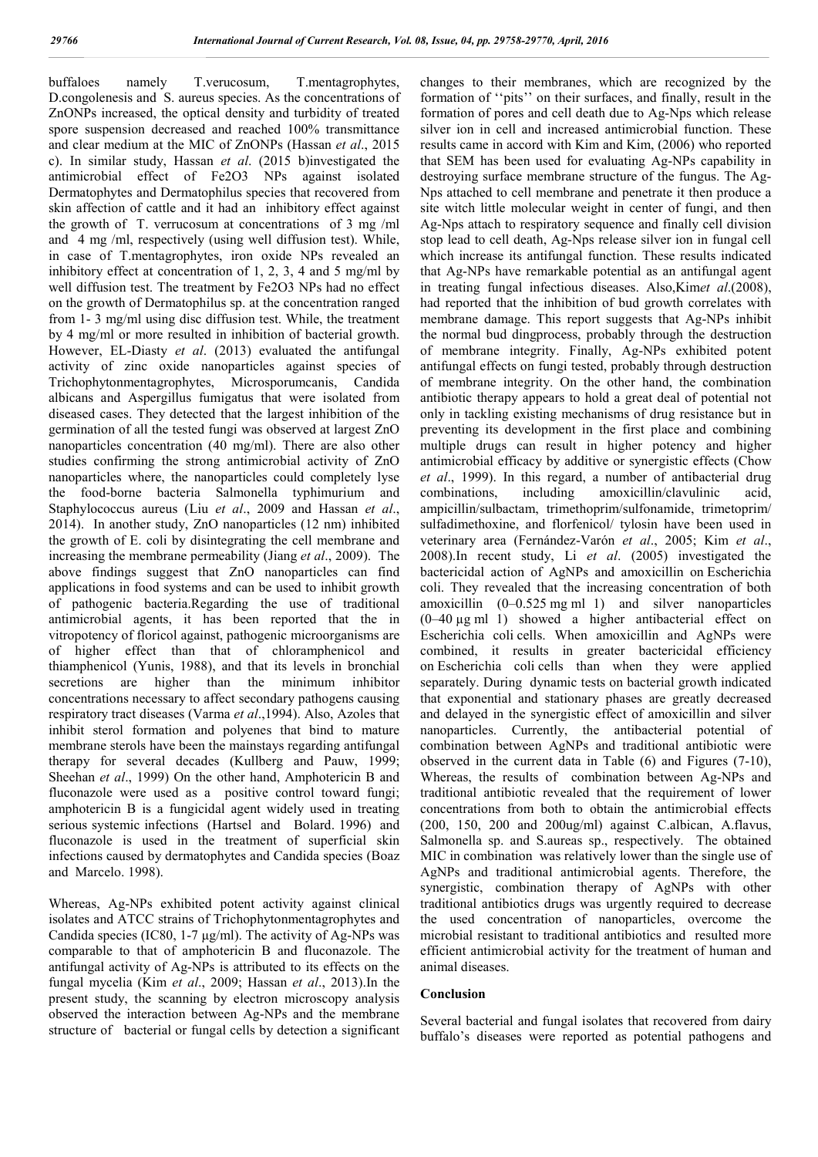buffaloes namely T.verucosum, T.mentagrophytes, D.congolenesis and S. aureus species. As the concentrations of ZnONPs increased, the optical density and turbidity of treated spore suspension decreased and reached 100% transmittance and clear medium at the MIC of ZnONPs (Hassan *et al*., 2015 c). In similar study, Hassan *et al*. (2015 b)investigated the antimicrobial effect of Fe2O3 NPs against isolated Dermatophytes and Dermatophilus species that recovered from skin affection of cattle and it had an inhibitory effect against the growth of T. verrucosum at concentrations of 3 mg /ml and 4 mg /ml, respectively (using well diffusion test). While, in case of T.mentagrophytes, iron oxide NPs revealed an inhibitory effect at concentration of 1, 2, 3, 4 and 5 mg/ml by well diffusion test. The treatment by Fe2O3 NPs had no effect on the growth of Dermatophilus sp. at the concentration ranged from 1- 3 mg/ml using disc diffusion test. While, the treatment by 4 mg/ml or more resulted in inhibition of bacterial growth. However, EL-Diasty *et al*. (2013) evaluated the antifungal activity of zinc oxide nanoparticles against species of Trichophytonmentagrophytes, Microsporumcanis, Candida albicans and Aspergillus fumigatus that were isolated from diseased cases. They detected that the largest inhibition of the germination of all the tested fungi was observed at largest ZnO nanoparticles concentration (40 mg/ml). There are also other studies confirming the strong antimicrobial activity of ZnO nanoparticles where, the nanoparticles could completely lyse the food-borne bacteria Salmonella typhimurium and Staphylococcus aureus (Liu *et al*., 2009 and Hassan *et al*., 2014). In another study, ZnO nanoparticles (12 nm) inhibited the growth of E. coli by disintegrating the cell membrane and increasing the membrane permeability (Jiang *et al*., 2009). The above findings suggest that ZnO nanoparticles can find applications in food systems and can be used to inhibit growth of pathogenic bacteria.Regarding the use of traditional antimicrobial agents, it has been reported that the in vitropotency of floricol against, pathogenic microorganisms are of higher effect than that of chloramphenicol and thiamphenicol (Yunis, 1988), and that its levels in bronchial secretions are higher than the minimum inhibitor concentrations necessary to affect secondary pathogens causing respiratory tract diseases (Varma *et al*.,1994). Also, Azoles that inhibit sterol formation and polyenes that bind to mature membrane sterols have been the mainstays regarding antifungal therapy for several decades (Kullberg and Pauw, 1999; Sheehan *et al*., 1999) On the other hand, Amphotericin B and fluconazole were used as a positive control toward fungi; amphotericin B is a fungicidal agent widely used in treating serious systemic infections (Hartsel and Bolard. 1996) and fluconazole is used in the treatment of superficial skin infections caused by dermatophytes and Candida species (Boaz and Marcelo. 1998).

Whereas, Ag-NPs exhibited potent activity against clinical isolates and ATCC strains of Trichophytonmentagrophytes and Candida species (IC80, 1-7 μg/ml). The activity of Ag-NPs was comparable to that of amphotericin B and fluconazole. The antifungal activity of Ag-NPs is attributed to its effects on the fungal mycelia (Kim *et al*., 2009; Hassan *et al*., 2013).In the present study, the scanning by electron microscopy analysis observed the interaction between Ag-NPs and the membrane structure of bacterial or fungal cells by detection a significant changes to their membranes, which are recognized by the formation of ''pits'' on their surfaces, and finally, result in the formation of pores and cell death due to Ag-Nps which release silver ion in cell and increased antimicrobial function. These results came in accord with Kim and Kim, (2006) who reported that SEM has been used for evaluating Ag-NPs capability in destroying surface membrane structure of the fungus. The Ag-Nps attached to cell membrane and penetrate it then produce a site witch little molecular weight in center of fungi, and then Ag-Nps attach to respiratory sequence and finally cell division stop lead to cell death, Ag-Nps release silver ion in fungal cell which increase its antifungal function. These results indicated that Ag-NPs have remarkable potential as an antifungal agent in treating fungal infectious diseases. Also,Kim*et al*.(2008), had reported that the inhibition of bud growth correlates with membrane damage. This report suggests that Ag-NPs inhibit the normal bud dingprocess, probably through the destruction of membrane integrity. Finally, Ag-NPs exhibited potent antifungal effects on fungi tested, probably through destruction of membrane integrity. On the other hand, the combination antibiotic therapy appears to hold a great deal of potential not only in tackling existing mechanisms of drug resistance but in preventing its development in the first place and combining multiple drugs can result in higher potency and higher antimicrobial efficacy by additive or synergistic effects (Chow *et al*., 1999). In this regard, a number of antibacterial drug combinations, including amoxicillin/clavulinic acid, ampicillin/sulbactam, trimethoprim/sulfonamide, trimetoprim/ sulfadimethoxine, and florfenicol/ tylosin have been used in veterinary area (Fernández-Varón *et al*., 2005; Kim *et al*., 2008).In recent study, Li *et al*. (2005) investigated the bactericidal action of AgNPs and amoxicillin on Escherichia coli. They revealed that the increasing concentration of both amoxicillin (0–0.525 mg ml 1) and silver nanoparticles (0–40 µg ml 1) showed a higher antibacterial effect on Escherichia coli cells. When amoxicillin and AgNPs were combined, it results in greater bactericidal efficiency on Escherichia coli cells than when they were applied separately. During dynamic tests on bacterial growth indicated that exponential and stationary phases are greatly decreased and delayed in the synergistic effect of amoxicillin and silver nanoparticles. Currently, the antibacterial potential of combination between AgNPs and traditional antibiotic were observed in the current data in Table (6) and Figures (7-10), Whereas, the results of combination between Ag-NPs and traditional antibiotic revealed that the requirement of lower concentrations from both to obtain the antimicrobial effects (200, 150, 200 and 200ug/ml) against C.albican, A.flavus, Salmonella sp. and S.aureas sp., respectively. The obtained MIC in combination was relatively lower than the single use of AgNPs and traditional antimicrobial agents. Therefore, the synergistic, combination therapy of AgNPs with other traditional antibiotics drugs was urgently required to decrease the used concentration of nanoparticles, overcome the microbial resistant to traditional antibiotics and resulted more efficient antimicrobial activity for the treatment of human and animal diseases.

#### **Conclusion**

Several bacterial and fungal isolates that recovered from dairy buffalo's diseases were reported as potential pathogens and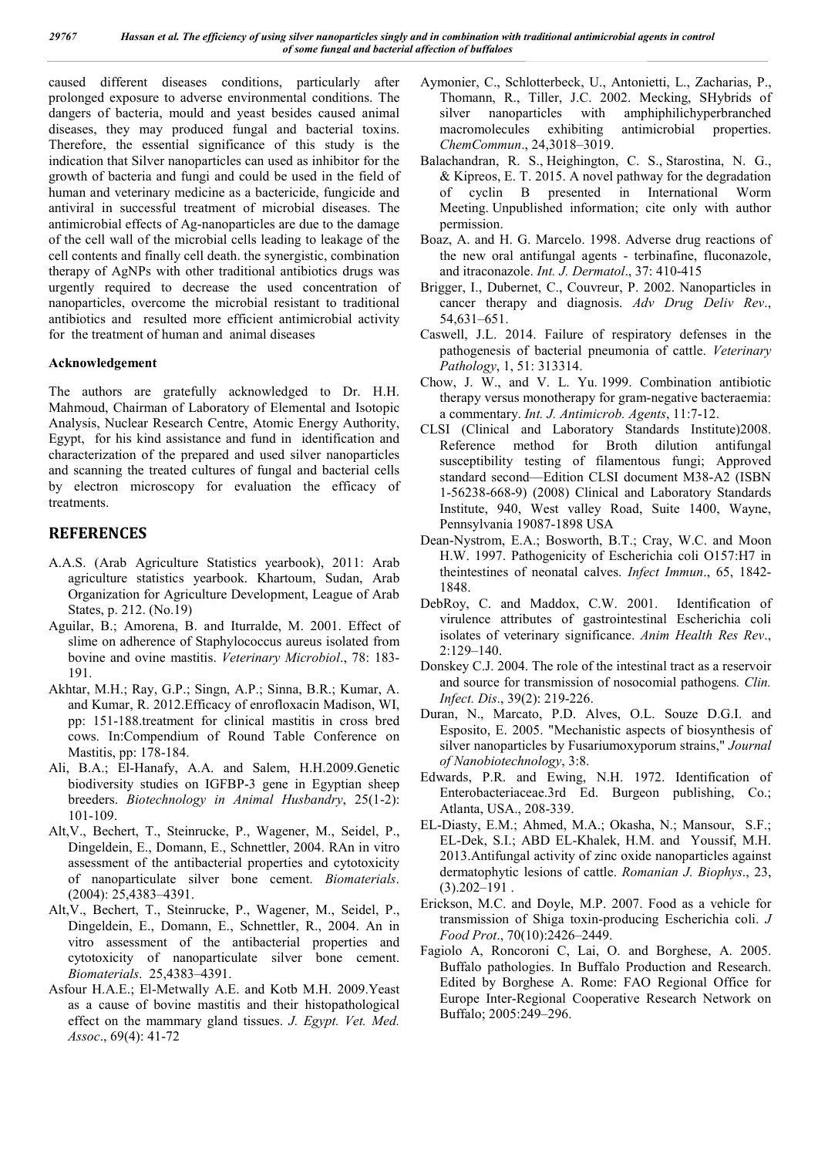caused different diseases conditions, particularly after prolonged exposure to adverse environmental conditions. The dangers of bacteria, mould and yeast besides caused animal diseases, they may produced fungal and bacterial toxins. Therefore, the essential significance of this study is the indication that Silver nanoparticles can used as inhibitor for the growth of bacteria and fungi and could be used in the field of human and veterinary medicine as a bactericide, fungicide and antiviral in successful treatment of microbial diseases. The antimicrobial effects of Ag-nanoparticles are due to the damage of the cell wall of the microbial cells leading to leakage of the cell contents and finally cell death. the synergistic, combination therapy of AgNPs with other traditional antibiotics drugs was urgently required to decrease the used concentration of nanoparticles, overcome the microbial resistant to traditional antibiotics and resulted more efficient antimicrobial activity for the treatment of human and animal diseases

#### **Acknowledgement**

The authors are gratefully acknowledged to Dr. H.H. Mahmoud, Chairman of Laboratory of Elemental and Isotopic Analysis, Nuclear Research Centre, Atomic Energy Authority, Egypt, for his kind assistance and fund in identification and characterization of the prepared and used silver nanoparticles and scanning the treated cultures of fungal and bacterial cells by electron microscopy for evaluation the efficacy of treatments.

# **REFERENCES**

- A.A.S. (Arab Agriculture Statistics yearbook), 2011: Arab agriculture statistics yearbook. Khartoum, Sudan, Arab Organization for Agriculture Development, League of Arab States, p. 212. (No.19)
- Aguilar, B.; Amorena, B. and Iturralde, M. 2001. Effect of slime on adherence of Staphylococcus aureus isolated from bovine and ovine mastitis. *Veterinary Microbiol*., 78: 183- 191.
- Akhtar, M.H.; Ray, G.P.; Singn, A.P.; Sinna, B.R.; Kumar, A. and Kumar, R. 2012.Efficacy of enrofloxacin Madison, WI, pp: 151-188.treatment for clinical mastitis in cross bred cows. In:Compendium of Round Table Conference on Mastitis, pp: 178-184.
- Ali, B.A.; El-Hanafy, A.A. and Salem, H.H.2009.Genetic biodiversity studies on IGFBP-3 gene in Egyptian sheep breeders. *Biotechnology in Animal Husbandry*, 25(1-2): 101-109.
- Alt,V., Bechert, T., Steinrucke, P., Wagener, M., Seidel, P., Dingeldein, E., Domann, E., Schnettler, 2004. RAn in vitro assessment of the antibacterial properties and cytotoxicity of nanoparticulate silver bone cement. *Biomaterials*. (2004): 25,4383–4391.
- Alt,V., Bechert, T., Steinrucke, P., Wagener, M., Seidel, P., Dingeldein, E., Domann, E., Schnettler, R., 2004. An in vitro assessment of the antibacterial properties and cytotoxicity of nanoparticulate silver bone cement. *Biomaterials*. 25,4383–4391.
- Asfour H.A.E.; El-Metwally A.E. and Kotb M.H. 2009.Yeast as a cause of bovine mastitis and their histopathological effect on the mammary gland tissues. *J. Egypt. Vet. Med. Assoc*., 69(4): 41-72
- Aymonier, C., Schlotterbeck, U., Antonietti, L., Zacharias, P., Thomann, R., Tiller, J.C. 2002. Mecking, SHybrids of silver nanoparticles with amphiphilichyperbranched macromolecules exhibiting antimicrobial properties. *ChemCommun*., 24,3018–3019.
- Balachandran, R. S., Heighington, C. S., Starostina, N. G., & Kipreos, E. T. 2015. A novel pathway for the degradation of cyclin B presented in International Worm Meeting. Unpublished information; cite only with author permission.
- Boaz, A. and H. G. Marcelo. 1998. Adverse drug reactions of the new oral antifungal agents - terbinafine, fluconazole, and itraconazole. *Int. J. Dermatol*., 37: 410-415
- Brigger, I., Dubernet, C., Couvreur, P. 2002. Nanoparticles in cancer therapy and diagnosis. *Adv Drug Deliv Rev*., 54,631–651.
- Caswell, J.L. 2014. Failure of respiratory defenses in the pathogenesis of bacterial pneumonia of cattle. *Veterinary Pathology*, 1, 51: 313314.
- Chow, J. W., and V. L. Yu. 1999. Combination antibiotic therapy versus monotherapy for gram-negative bacteraemia: a commentary. *Int. J. Antimicrob. Agents*, 11:7-12.
- CLSI (Clinical and Laboratory Standards Institute)2008. Reference method for Broth dilution antifungal susceptibility testing of filamentous fungi; Approved standard second—Edition CLSI document M38-A2 (ISBN 1-56238-668-9) (2008) Clinical and Laboratory Standards Institute, 940, West valley Road, Suite 1400, Wayne, Pennsylvania 19087-1898 USA
- Dean-Nystrom, E.A.; Bosworth, B.T.; Cray, W.C. and Moon H.W. 1997. Pathogenicity of Escherichia coli O157:H7 in theintestines of neonatal calves. *Infect Immun*., 65, 1842- 1848.
- DebRoy, C. and Maddox, C.W. 2001. Identification of virulence attributes of gastrointestinal Escherichia coli isolates of veterinary significance. *Anim Health Res Rev*., 2:129–140.
- Donskey C.J. 2004. The role of the intestinal tract as a reservoir and source for transmission of nosocomial pathogens*. Clin. Infect. Dis*., 39(2): 219-226.
- Duran, N., Marcato, P.D. Alves, O.L. Souze D.G.I. and Esposito, E. 2005. "Mechanistic aspects of biosynthesis of silver nanoparticles by Fusariumoxyporum strains," *Journal of Nanobiotechnology*, 3:8.
- Edwards, P.R. and Ewing, N.H. 1972. Identification of Enterobacteriaceae.3rd Ed. Burgeon publishing, Co.; Atlanta, USA., 208-339.
- EL-Diasty, E.M.; Ahmed, M.A.; Okasha, N.; Mansour, S.F.; EL-Dek, S.I.; ABD EL-Khalek, H.M. and Youssif, M.H. 2013.Antifungal activity of zinc oxide nanoparticles against dermatophytic lesions of cattle. *Romanian J. Biophys*., 23,  $(3)$ .202–191.
- Erickson, M.C. and Doyle, M.P. 2007. Food as a vehicle for transmission of Shiga toxin-producing Escherichia coli. *J Food Prot*., 70(10):2426–2449.
- Fagiolo A, Roncoroni C, Lai, O. and Borghese, A. 2005. Buffalo pathologies. In Buffalo Production and Research. Edited by Borghese A. Rome: FAO Regional Office for Europe Inter-Regional Cooperative Research Network on Buffalo; 2005:249–296.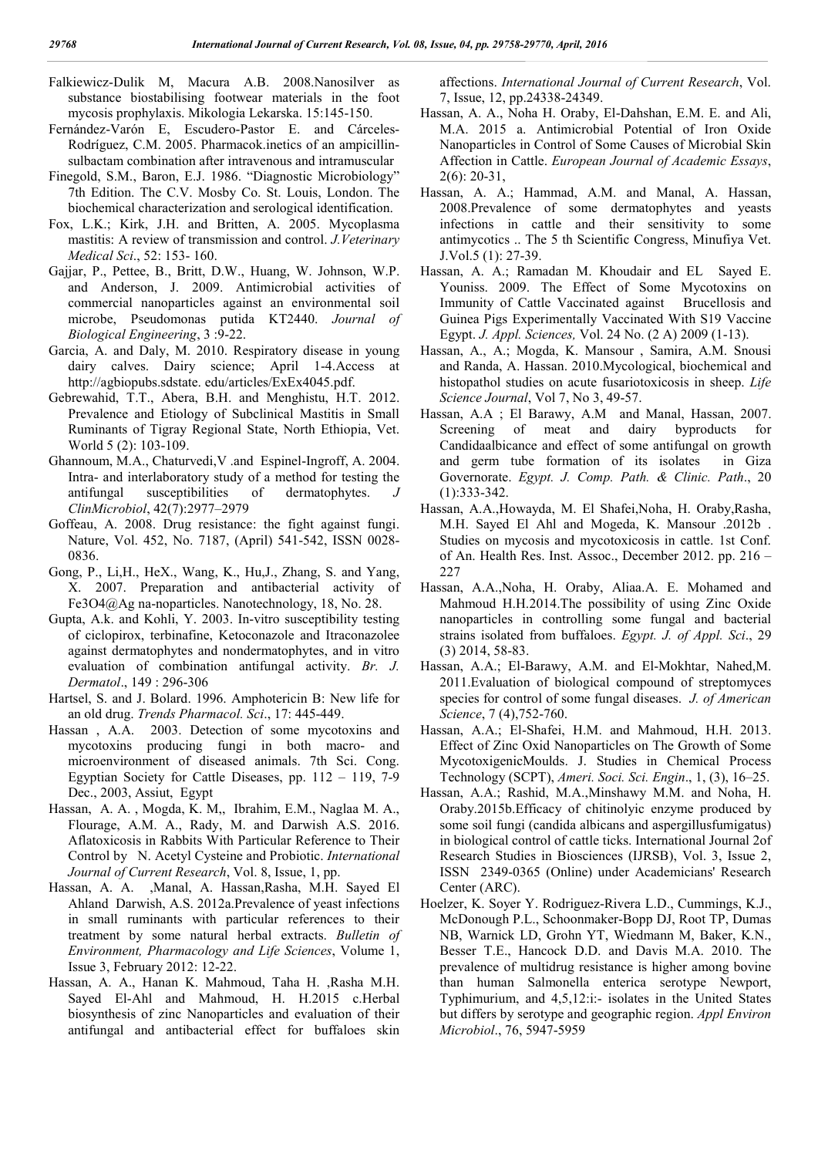Falkiewicz-Dulik M, Macura A.B. 2008.Nanosilver as substance biostabilising footwear materials in the foot mycosis prophylaxis. Mikologia Lekarska. 15:145-150.

- Fernández-Varón E, Escudero-Pastor E. and Cárceles-Rodríguez, C.M. 2005. Pharmacok.inetics of an ampicillinsulbactam combination after intravenous and intramuscular
- Finegold, S.M., Baron, E.J. 1986. "Diagnostic Microbiology" 7th Edition. The C.V. Mosby Co. St. Louis, London. The biochemical characterization and serological identification.
- Fox, L.K.; Kirk, J.H. and Britten, A. 2005. Mycoplasma mastitis: A review of transmission and control. *J.Veterinary Medical Sci*., 52: 153- 160.
- Gajjar, P., Pettee, B., Britt, D.W., Huang, W. Johnson, W.P. and Anderson, J. 2009. Antimicrobial activities of commercial nanoparticles against an environmental soil microbe, Pseudomonas putida KT2440. *Journal of Biological Engineering*, 3 :9-22.
- Garcia, A. and Daly, M. 2010. Respiratory disease in young dairy calves. Dairy science; April 1-4.Access at http://agbiopubs.sdstate. edu/articles/ExEx4045.pdf.
- Gebrewahid, T.T., Abera, B.H. and Menghistu, H.T. 2012. Prevalence and Etiology of Subclinical Mastitis in Small Ruminants of Tigray Regional State, North Ethiopia, Vet. World 5 (2): 103-109.
- Ghannoum, M.A., Chaturvedi,V .and Espinel-Ingroff, A. 2004. Intra- and interlaboratory study of a method for testing the antifungal susceptibilities of dermatophytes. *J ClinMicrobiol*, 42(7):2977–2979
- Goffeau, A. 2008. Drug resistance: the fight against fungi. Nature, Vol. 452, No. 7187, (April) 541-542, ISSN 0028- 0836.
- Gong, P., Li,H., HeX., Wang, K., Hu,J., Zhang, S. and Yang, X. 2007. Preparation and antibacterial activity of Fe3O4@Ag na-noparticles. Nanotechnology, 18, No. 28.
- Gupta, A.k. and Kohli, Y. 2003. In-vitro susceptibility testing of ciclopirox, terbinafine, Ketoconazole and Itraconazolee against dermatophytes and nondermatophytes, and in vitro evaluation of combination antifungal activity. *Br. J. Dermatol*., 149 : 296-306
- Hartsel, S. and J. Bolard. 1996. Amphotericin B: New life for an old drug. *Trends Pharmacol. Sci*., 17: 445-449.
- Hassan , A.A. 2003. Detection of some mycotoxins and mycotoxins producing fungi in both macro- and microenvironment of diseased animals. 7th Sci. Cong. Egyptian Society for Cattle Diseases, pp. 112 – 119, 7-9 Dec., 2003, Assiut, Egypt
- Hassan, A. A. , Mogda, K. M,, Ibrahim, E.M., Naglaa M. A., Flourage, A.M. A., Rady, M. and Darwish A.S. 2016. Aflatoxicosis in Rabbits With Particular Reference to Their Control by N. Acetyl Cysteine and Probiotic. *International Journal of Current Research*, Vol. 8, Issue, 1, pp.
- Hassan, A. A. ,Manal, A. Hassan,Rasha, M.H. Sayed El Ahland Darwish, A.S. 2012a.Prevalence of yeast infections in small ruminants with particular references to their treatment by some natural herbal extracts. *Bulletin of Environment, Pharmacology and Life Sciences*, Volume 1, Issue 3, February 2012: 12-22.
- Hassan, A. A., Hanan K. Mahmoud, Taha H. ,Rasha M.H. Sayed El-Ahl and Mahmoud, H. H.2015 c.Herbal biosynthesis of zinc Nanoparticles and evaluation of their antifungal and antibacterial effect for buffaloes skin

affections. *International Journal of Current Research*, Vol. 7, Issue, 12, pp.24338-24349.

- Hassan, A. A., Noha H. Oraby, El-Dahshan, E.M. E. and Ali, M.A. 2015 a. Antimicrobial Potential of Iron Oxide Nanoparticles in Control of Some Causes of Microbial Skin Affection in Cattle. *European Journal of Academic Essays*,  $2(6)$ : 20-31,
- Hassan, A. A.; Hammad, A.M. and Manal, A. Hassan, 2008.Prevalence of some dermatophytes and yeasts infections in cattle and their sensitivity to some antimycotics .. The 5 th Scientific Congress, Minufiya Vet. J.Vol.5 (1): 27-39.
- Hassan, A. A.; Ramadan M. Khoudair and EL Sayed E. Youniss. 2009. The Effect of Some Mycotoxins on Immunity of Cattle Vaccinated against Brucellosis and Guinea Pigs Experimentally Vaccinated With S19 Vaccine Egypt. *J. Appl. Sciences,* Vol. 24 No. (2 A) 2009 (1-13).
- Hassan, A., A.; Mogda, K. Mansour , Samira, A.M. Snousi and Randa, A. Hassan. 2010.Mycological, biochemical and histopathol studies on acute fusariotoxicosis in sheep. *Life Science Journal*, Vol 7, No 3, 49-57.
- Hassan, A.A ; El Barawy, A.M and Manal, Hassan, 2007. Screening of meat and dairy byproducts for Candidaalbicance and effect of some antifungal on growth and germ tube formation of its isolates in Giza Governorate. *Egypt. J. Comp. Path. & Clinic. Path*., 20 (1):333-342.
- Hassan, A.A.,Howayda, M. El Shafei,Noha, H. Oraby,Rasha, M.H. Sayed El Ahl and Mogeda, K. Mansour .2012b . Studies on mycosis and mycotoxicosis in cattle. 1st Conf. of An. Health Res. Inst. Assoc., December 2012. pp. 216 – 227
- Hassan, A.A.,Noha, H. Oraby, Aliaa.A. E. Mohamed and Mahmoud H.H.2014.The possibility of using Zinc Oxide nanoparticles in controlling some fungal and bacterial strains isolated from buffaloes. *Egypt. J. of Appl. Sci*., 29 (3) 2014, 58-83.
- Hassan, A.A.; El-Barawy, A.M. and El-Mokhtar, Nahed,M. 2011.Evaluation of biological compound of streptomyces species for control of some fungal diseases. *J. of American Science*, 7 (4),752-760.
- Hassan, A.A.; El-Shafei, H.M. and Mahmoud, H.H. 2013. Effect of Zinc Oxid Nanoparticles on The Growth of Some MycotoxigenicMoulds. J. Studies in Chemical Process Technology (SCPT), *Ameri. Soci. Sci. Engin*., 1, (3), 16–25.
- Hassan, A.A.; Rashid, M.A.,Minshawy M.M. and Noha, H. Oraby.2015b.Efficacy of chitinolyic enzyme produced by some soil fungi (candida albicans and aspergillusfumigatus) in biological control of cattle ticks. International Journal 2of Research Studies in Biosciences (IJRSB), Vol. 3, Issue 2, ISSN 2349-0365 (Online) under Academicians' Research Center (ARC).
- Hoelzer, K. Soyer Y. Rodriguez-Rivera L.D., Cummings, K.J., McDonough P.L., Schoonmaker-Bopp DJ, Root TP, Dumas NB, Warnick LD, Grohn YT, Wiedmann M, Baker, K.N., Besser T.E., Hancock D.D. and Davis M.A. 2010. The prevalence of multidrug resistance is higher among bovine than human Salmonella enterica serotype Newport, Typhimurium, and 4,5,12:i:- isolates in the United States but differs by serotype and geographic region. *Appl Environ Microbiol*., 76, 5947-5959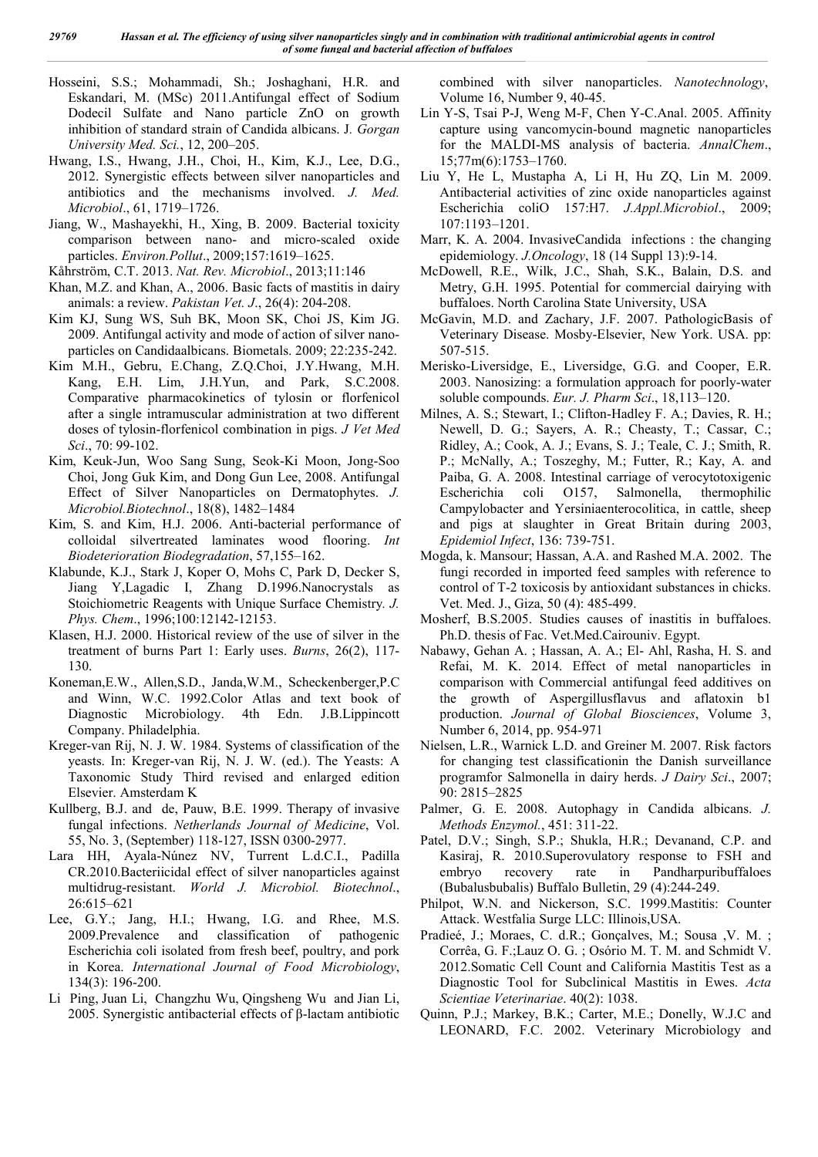- Hosseini, S.S.; Mohammadi, Sh.; Joshaghani, H.R. and Eskandari, M. (MSc) 2011.Antifungal effect of Sodium Dodecil Sulfate and Nano particle ZnO on growth inhibition of standard strain of Candida albicans. J*. Gorgan University Med. Sci.*, 12, 200–205.
- Hwang, I.S., Hwang, J.H., Choi, H., Kim, K.J., Lee, D.G., 2012. Synergistic effects between silver nanoparticles and antibiotics and the mechanisms involved. *J. Med. Microbiol*., 61, 1719–1726.
- Jiang, W., Mashayekhi, H., Xing, B. 2009. Bacterial toxicity comparison between nano- and micro-scaled oxide particles. *Environ.Pollut*., 2009;157:1619–1625.
- Kåhrström, C.T. 2013. *Nat. Rev. Microbiol*., 2013;11:146
- Khan, M.Z. and Khan, A., 2006. Basic facts of mastitis in dairy animals: a review. *Pakistan Vet. J*., 26(4): 204-208.
- Kim KJ, Sung WS, Suh BK, Moon SK, Choi JS, Kim JG. 2009. Antifungal activity and mode of action of silver nanoparticles on Candidaalbicans. Biometals. 2009; 22:235-242.
- Kim M.H., Gebru, E.Chang, Z.Q.Choi, J.Y.Hwang, M.H. Kang, E.H. Lim, J.H.Yun, and Park, S.C.2008. Comparative pharmacokinetics of tylosin or florfenicol after a single intramuscular administration at two different doses of tylosin-florfenicol combination in pigs. *J Vet Med Sci*., 70: 99-102.
- Kim, Keuk-Jun, Woo Sang Sung, Seok-Ki Moon, Jong-Soo Choi, Jong Guk Kim, and Dong Gun Lee, 2008. Antifungal Effect of Silver Nanoparticles on Dermatophytes. *J. Microbiol.Biotechnol*., 18(8), 1482–1484
- Kim, S. and Kim, H.J. 2006. Anti-bacterial performance of colloidal silvertreated laminates wood flooring. *Int Biodeterioration Biodegradation*, 57,155–162.
- Klabunde, K.J., Stark J, Koper O, Mohs C, Park D, Decker S, Jiang Y,Lagadic I, Zhang D.1996.Nanocrystals as Stoichiometric Reagents with Unique Surface Chemistry*. J. Phys. Chem*., 1996;100:12142-12153.
- Klasen, H.J. 2000. Historical review of the use of silver in the treatment of burns Part 1: Early uses. *Burns*, 26(2), 117- 130.
- Koneman,E.W., Allen,S.D., Janda,W.M., Scheckenberger,P.C and Winn, W.C. 1992.Color Atlas and text book of Diagnostic Microbiology. 4th Edn. J.B.Lippincott Company. Philadelphia.
- Kreger-van Rij, N. J. W. 1984. Systems of classification of the yeasts. In: Kreger-van Rij, N. J. W. (ed.). The Yeasts: A Taxonomic Study Third revised and enlarged edition Elsevier. Amsterdam K
- Kullberg, B.J. and de, Pauw, B.E. 1999. Therapy of invasive fungal infections. *Netherlands Journal of Medicine*, Vol. 55, No. 3, (September) 118-127, ISSN 0300-2977.
- Lara HH, Ayala-Núnez NV, Turrent L.d.C.I., Padilla CR.2010.Bacteriicidal effect of silver nanoparticles against multidrug-resistant. *World J. Microbiol. Biotechnol*., 26:615–621
- Lee, G.Y.; Jang, H.I.; Hwang, I.G. and Rhee, M.S. 2009.Prevalence and classification of pathogenic Escherichia coli isolated from fresh beef, poultry, and pork in Korea. *International Journal of Food Microbiology*, 134(3): 196-200.
- Li Ping, Juan Li, Changzhu Wu, Qingsheng Wu and Jian Li, 2005. Synergistic antibacterial effects of β-lactam antibiotic

combined with silver nanoparticles. *Nanotechnology*, Volume 16, Number 9, 40-45.

- Lin Y-S, Tsai P-J, Weng M-F, Chen Y-C.Anal. 2005. Affinity capture using vancomycin-bound magnetic nanoparticles for the MALDI-MS analysis of bacteria. *AnnalChem*., 15;77m(6):1753–1760.
- Liu Y, He L, Mustapha A, Li H, Hu ZQ, Lin M. 2009. Antibacterial activities of zinc oxide nanoparticles against Escherichia coliO 157:H7. *J.Appl.Microbiol*., 2009; 107:1193–1201.
- Marr, K. A. 2004. InvasiveCandida infections : the changing epidemiology. *J.Oncology*, 18 (14 Suppl 13):9-14.
- McDowell, R.E., Wilk, J.C., Shah, S.K., Balain, D.S. and Metry, G.H. 1995. Potential for commercial dairying with buffaloes. North Carolina State University, USA
- McGavin, M.D. and Zachary, J.F. 2007. PathologicBasis of Veterinary Disease. Mosby-Elsevier, New York. USA. pp: 507-515.
- Merisko-Liversidge, E., Liversidge, G.G. and Cooper, E.R. 2003. Nanosizing: a formulation approach for poorly-water soluble compounds. *Eur. J. Pharm Sci*., 18,113–120.
- Milnes, A. S.; Stewart, I.; Clifton-Hadley F. A.; Davies, R. H.; Newell, D. G.; Sayers, A. R.; Cheasty, T.; Cassar, C.; Ridley, A.; Cook, A. J.; Evans, S. J.; Teale, C. J.; Smith, R. P.; McNally, A.; Toszeghy, M.; Futter, R.; Kay, A. and Paiba, G. A. 2008. Intestinal carriage of verocytotoxigenic Escherichia coli O157, Salmonella, thermophilic Campylobacter and Yersiniaenterocolitica, in cattle, sheep and pigs at slaughter in Great Britain during 2003, *Epidemiol Infect*, 136: 739-751.
- Mogda, k. Mansour; Hassan, A.A. and Rashed M.A. 2002. The fungi recorded in imported feed samples with reference to control of T-2 toxicosis by antioxidant substances in chicks. Vet. Med. J., Giza, 50 (4): 485-499.
- Mosherf, B.S.2005. Studies causes of inastitis in buffaloes. Ph.D. thesis of Fac. Vet.Med.Cairouniv. Egypt.
- Nabawy, Gehan A. ; Hassan, A. A.; El- Ahl, Rasha, H. S. and Refai, M. K. 2014. Effect of metal nanoparticles in comparison with Commercial antifungal feed additives on the growth of Aspergillusflavus and aflatoxin b1 production. *Journal of Global Biosciences*, Volume 3, Number 6, 2014, pp. 954-971
- Nielsen, L.R., Warnick L.D. and Greiner M. 2007. Risk factors for changing test classificationin the Danish surveillance programfor Salmonella in dairy herds. *J Dairy Sci*., 2007; 90: 2815–2825
- Palmer, G. E. 2008. Autophagy in Candida albicans. *J. Methods Enzymol.*, 451: 311-22.
- Patel, D.V.; Singh, S.P.; Shukla, H.R.; Devanand, C.P. and Kasiraj, R. 2010.Superovulatory response to FSH and embryo recovery rate in Pandharpuribuffaloes (Bubalusbubalis) Buffalo Bulletin, 29 (4):244-249.
- Philpot, W.N. and Nickerson, S.C. 1999.Mastitis: Counter Attack. Westfalia Surge LLC: Illinois,USA.
- Pradieé, J.; Moraes, C. d.R.; Gonçalves, M.; Sousa ,V. M. ; Corrêa, G. F.;Lauz O. G. ; Osório M. T. M. and Schmidt V. 2012.Somatic Cell Count and California Mastitis Test as a Diagnostic Tool for Subclinical Mastitis in Ewes. *Acta Scientiae Veterinariae*. 40(2): 1038.
- Quinn, P.J.; Markey, B.K.; Carter, M.E.; Donelly, W.J.C and LEONARD, F.C. 2002. Veterinary Microbiology and